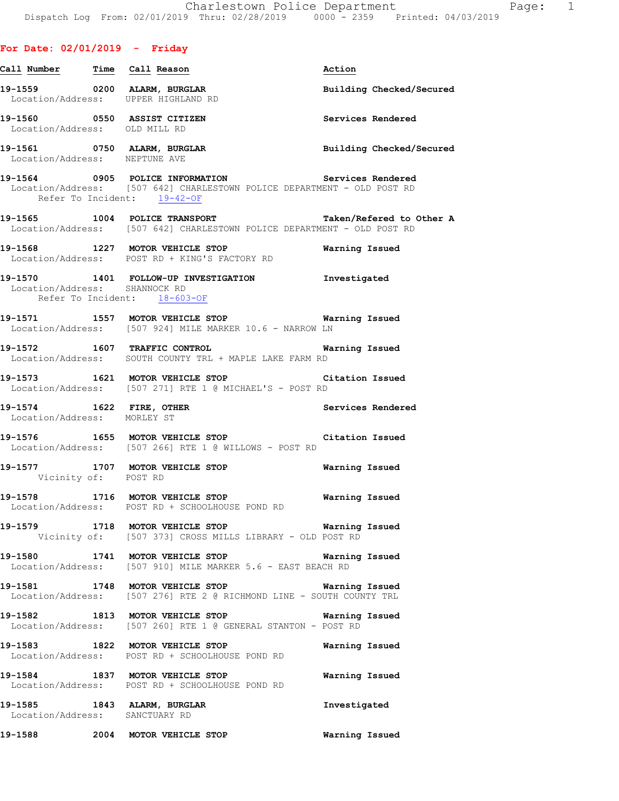# **For Date: 02/01/2019 - Friday Call Number Time Call Reason Action 19-1559 0200 ALARM, BURGLAR Building Checked/Secured**  Location/Address: UPPER HIGHLAND RD **19-1560 0550 ASSIST CITIZEN Services Rendered**  Location/Address: OLD MILL RD **19-1561 0750 ALARM, BURGLAR Building Checked/Secured**  Location/Address: NEPTUNE AVE **19-1564 0905 POLICE INFORMATION Services Rendered**  Location/Address: [507 642] CHARLESTOWN POLICE DEPARTMENT - OLD POST RD Refer To Incident: 19-42-OF **19-1565 1004 POLICE TRANSPORT Taken/Refered to Other A**  Location/Address: [507 642] CHARLESTOWN POLICE DEPARTMENT - OLD POST RD **19-1568 1227 MOTOR VEHICLE STOP Warning Issued**  Location/Address: POST RD + KING'S FACTORY RD **19-1570 1401 FOLLOW-UP INVESTIGATION Investigated**  Location/Address: SHANNOCK RD Refer To Incident: 18-603-OF **19-1571 1557 MOTOR VEHICLE STOP Warning Issued**  Location/Address: [507 924] MILE MARKER 10.6 - NARROW LN **19-1572 1607 TRAFFIC CONTROL Warning Issued**  Location/Address: SOUTH COUNTY TRL + MAPLE LAKE FARM RD **19-1573 1621 MOTOR VEHICLE STOP Citation Issued**  Location/Address: [507 271] RTE 1 @ MICHAEL'S - POST RD **19-1574 1622 FIRE, OTHER Services Rendered**  Location/Address: MORLEY ST **19-1576 1655 MOTOR VEHICLE STOP Citation Issued**

 Location/Address: [507 266] RTE 1 @ WILLOWS - POST RD **19-1577 1707 MOTOR VEHICLE STOP Warning Issued**  Vicinity of: POST RD

**19-1578 1716 MOTOR VEHICLE STOP Warning Issued**  Location/Address: POST RD + SCHOOLHOUSE POND RD

**19-1579 1718 MOTOR VEHICLE STOP Warning Issued**  Vicinity of: [507 373] CROSS MILLS LIBRARY - OLD POST RD

**19-1580 1741 MOTOR VEHICLE STOP Warning Issued**  Location/Address: [507 910] MILE MARKER 5.6 - EAST BEACH RD

**19-1581 1748 MOTOR VEHICLE STOP Warning Issued**  Location/Address: [507 276] RTE 2 @ RICHMOND LINE - SOUTH COUNTY TRL

**19-1582 1813 MOTOR VEHICLE STOP Warning Issued**  Location/Address: [507 260] RTE 1 @ GENERAL STANTON - POST RD

**19-1583 1822 MOTOR VEHICLE STOP Warning Issued**  Location/Address: POST RD + SCHOOLHOUSE POND RD

**19-1584 1837 MOTOR VEHICLE STOP Warning Issued**  Location/Address: POST RD + SCHOOLHOUSE POND RD

**19-1585 1843 ALARM, BURGLAR Investigated**  Location/Address: SANCTUARY RD

**19-1588 2004 MOTOR VEHICLE STOP Warning Issued**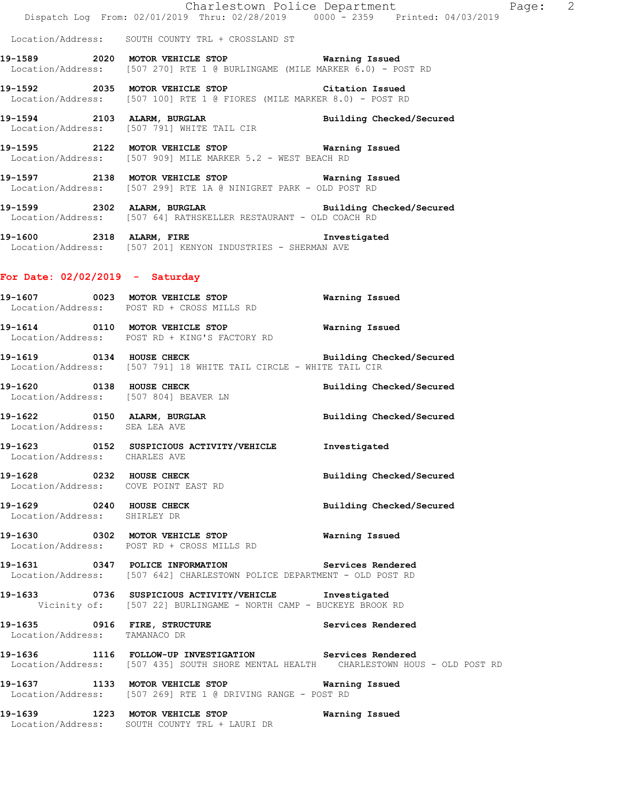Location/Address: SOUTH COUNTY TRL + CROSSLAND ST

**19-1589 2020 MOTOR VEHICLE STOP Warning Issued**  Location/Address: [507 270] RTE 1 @ BURLINGAME (MILE MARKER 6.0) - POST RD

**19-1592 2035 MOTOR VEHICLE STOP Citation Issued**  Location/Address: [507 100] RTE 1 @ FIORES (MILE MARKER 8.0) - POST RD

**19-1594 2103 ALARM, BURGLAR Building Checked/Secured**  Location/Address: [507 791] WHITE TAIL CIR

**19-1595 2122 MOTOR VEHICLE STOP Warning Issued**  Location/Address: [507 909] MILE MARKER 5.2 - WEST BEACH RD

**19-1597 2138 MOTOR VEHICLE STOP Warning Issued**  Location/Address: [507 299] RTE 1A @ NINIGRET PARK - OLD POST RD

**19-1599 2302 ALARM, BURGLAR Building Checked/Secured**  Location/Address: [507 64] RATHSKELLER RESTAURANT - OLD COACH RD

**19-1600 2318 ALARM, FIRE Investigated**  Location/Address: [507 201] KENYON INDUSTRIES - SHERMAN AVE

## **For Date: 02/02/2019 - Saturday**

**19-1607 0023 MOTOR VEHICLE STOP Warning Issued**  Location/Address: POST RD + CROSS MILLS RD

**19-1614 0110 MOTOR VEHICLE STOP Warning Issued**  Location/Address: POST RD + KING'S FACTORY RD

**19-1619 0134 HOUSE CHECK Building Checked/Secured**  Location/Address: [507 791] 18 WHITE TAIL CIRCLE - WHITE TAIL CIR

**19-1620 0138 HOUSE CHECK Building Checked/Secured**  Location/Address: [507 804] BEAVER LN

**19-1622 0150 ALARM, BURGLAR Building Checked/Secured**  Location/Address: SEA LEA AVE

**19-1623 0152 SUSPICIOUS ACTIVITY/VEHICLE Investigated**  Location/Address: CHARLES AVE

**19-1628 0232 HOUSE CHECK Building Checked/Secured**  Location/Address: COVE POINT EAST RD

**19-1629 0240 HOUSE CHECK Building Checked/Secured**  Location/Address: SHIRLEY DR

**19-1630 0302 MOTOR VEHICLE STOP Warning Issued**  Location/Address: POST RD + CROSS MILLS RD

**19-1631 0347 POLICE INFORMATION Services Rendered**  Location/Address: [507 642] CHARLESTOWN POLICE DEPARTMENT - OLD POST RD

**19-1633 0736 SUSPICIOUS ACTIVITY/VEHICLE Investigated**  Vicinity of: [507 22] BURLINGAME - NORTH CAMP - BUCKEYE BROOK RD

**19-1635 0916 FIRE, STRUCTURE Services Rendered**  Location/Address: TAMANACO DR

**19-1636 1116 FOLLOW-UP INVESTIGATION Services Rendered**  Location/Address: [507 435] SOUTH SHORE MENTAL HEALTH CHARLESTOWN HOUS - OLD POST RD

**19-1637 1133 MOTOR VEHICLE STOP Warning Issued**  Location/Address: [507 269] RTE 1 @ DRIVING RANGE - POST RD

**19-1639 1223 MOTOR VEHICLE STOP Warning Issued**  Location/Address: SOUTH COUNTY TRL + LAURI DR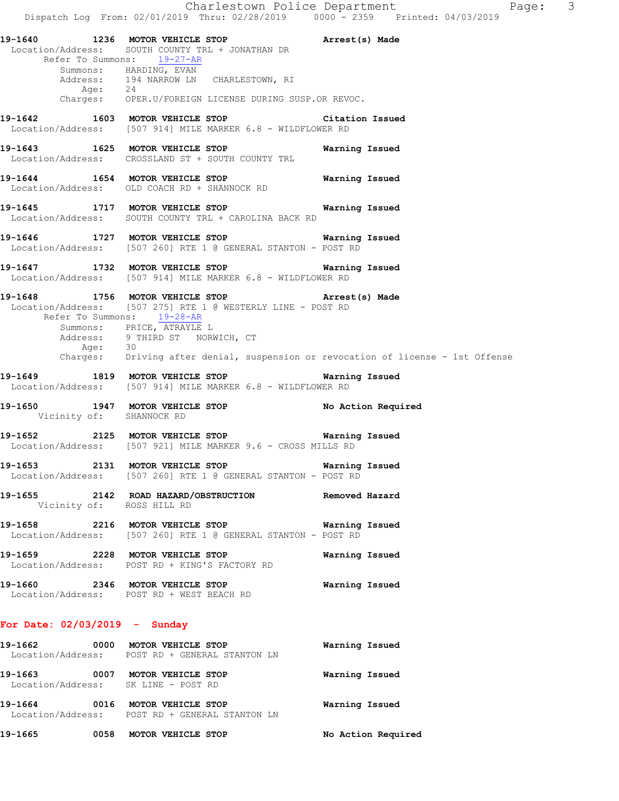Charlestown Police Department Page: 3 Dispatch Log From: 02/01/2019 Thru: 02/28/2019 0000 - 2359 Printed: 04/03/2019 **19-1640 1236 MOTOR VEHICLE STOP Arrest(s) Made**  Location/Address: SOUTH COUNTY TRL + JONATHAN DR Refer To Summons: 19-27-AR Summons: HARDING, EVAN Address: 194 NARROW LN CHARLESTOWN, RI Age: 24 Charges: OPER.U/FOREIGN LICENSE DURING SUSP.OR REVOC. **19-1642 1603 MOTOR VEHICLE STOP Citation Issued**  Location/Address: [507 914] MILE MARKER 6.8 - WILDFLOWER RD **19-1643 1625 MOTOR VEHICLE STOP Warning Issued**  Location/Address: CROSSLAND ST + SOUTH COUNTY TRL **19-1644 1654 MOTOR VEHICLE STOP Warning Issued**  Location/Address: OLD COACH RD + SHANNOCK RD **19-1645 1717 MOTOR VEHICLE STOP Warning Issued**  Location/Address: SOUTH COUNTY TRL + CAROLINA BACK RD **19-1646 1727 MOTOR VEHICLE STOP Warning Issued**  Location/Address: [507 260] RTE 1 @ GENERAL STANTON - POST RD **19-1647 1732 MOTOR VEHICLE STOP Warning Issued**  Location/Address: [507 914] MILE MARKER 6.8 - WILDFLOWER RD **19-1648 1756 MOTOR VEHICLE STOP Arrest(s) Made**  Location/Address: [507 275] RTE 1 @ WESTERLY LINE - POST RD Refer To Summons: 19-28-AR Summons: PRICE, ATRAYLE L Address: 9 THIRD ST NORWICH, CT<br>Age: 30 Age: 30 Charges: Driving after denial, suspension or revocation of license - 1st Offense **19-1649 1819 MOTOR VEHICLE STOP Warning Issued**  Location/Address: [507 914] MILE MARKER 6.8 - WILDFLOWER RD **19-1650 1947 MOTOR VEHICLE STOP No Action Required Vicinity of:** SHANNOCK RD Vicinity of: **19-1652 2125 MOTOR VEHICLE STOP Warning Issued**  Location/Address: [507 921] MILE MARKER 9.6 - CROSS MILLS RD **19-1653 2131 MOTOR VEHICLE STOP Warning Issued**  Location/Address: [507 260] RTE 1 @ GENERAL STANTON - POST RD **19-1655 2142 ROAD HAZARD/OBSTRUCTION Removed Hazard**  Vicinity of: ROSS HILL RD **19-1658 2216 MOTOR VEHICLE STOP Warning Issued**  Location/Address: [507 260] RTE 1 @ GENERAL STANTON - POST RD **19-1659 2228 MOTOR VEHICLE STOP Warning Issued**  Location/Address: POST RD + KING'S FACTORY RD **19-1660 2346 MOTOR VEHICLE STOP Warning Issued**  Location/Address: POST RD + WEST BEACH RD **For Date: 02/03/2019 - Sunday 19-1662 0000 MOTOR VEHICLE STOP Warning Issued**  Location/Address: POST RD + GENERAL STANTON LN **19-1663 0007 MOTOR VEHICLE STOP Warning Issued**  Location/Address: SK LINE - POST RD

**19-1664 0016 MOTOR VEHICLE STOP Warning Issued**  Location/Address: POST RD + GENERAL STANTON LN

**19-1665 0058 MOTOR VEHICLE STOP No Action Required**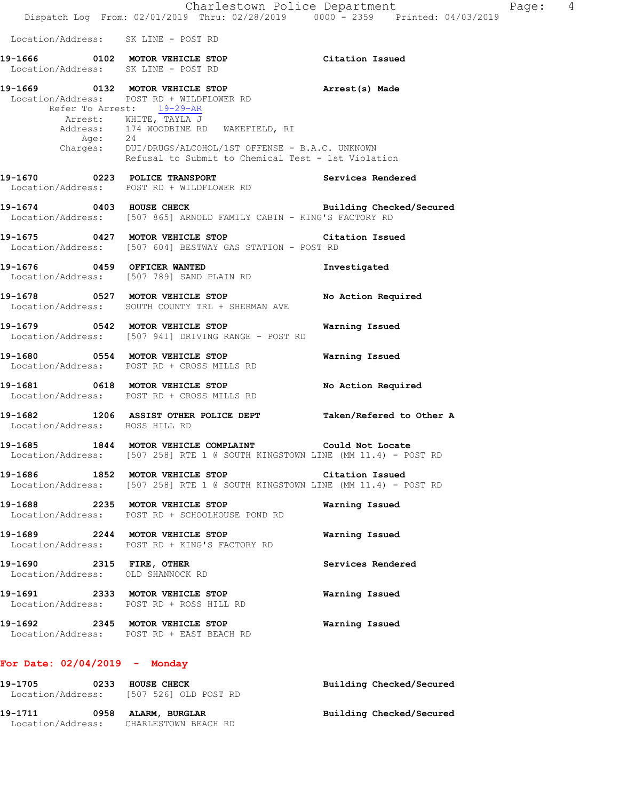|                                                               | Charlestown Police Department                                                                                                          |                          |
|---------------------------------------------------------------|----------------------------------------------------------------------------------------------------------------------------------------|--------------------------|
|                                                               | Dispatch Log From: 02/01/2019 Thru: 02/28/2019 0000 - 2359 Printed: 04/03/2019                                                         |                          |
| Location/Address: SK LINE - POST RD                           |                                                                                                                                        |                          |
|                                                               | 19-1666 0102 MOTOR VEHICLE STOP<br>Location/Address: SK LINE - POST RD                                                                 | Citation Issued          |
| Refer To Arrest: 19-29-AR                                     | 19-1669 0132 MOTOR VEHICLE STOP<br>Location/Address: POST RD + WILDFLOWER RD                                                           | Arrest(s) Made           |
|                                                               | Arrest: WHITE, TAYLA J<br>Address: 174 WOODBINE RD WAKEFIELD, RI<br>Age: 24<br>Charges: DUI/DRUGS/ALCOHOL/1ST OFFENSE - B.A.C. UNKNOWN |                          |
|                                                               | Refusal to Submit to Chemical Test - 1st Violation                                                                                     |                          |
|                                                               | 19-1670 0223 POLICE TRANSPORT<br>Location/Address: POST RD + WILDFLOWER RD                                                             | Services Rendered        |
|                                                               | 19-1674 0403 HOUSE CHECK Building Checked/Secured<br>Location/Address: [507 865] ARNOLD FAMILY CABIN - KING'S FACTORY RD               |                          |
|                                                               | 19-1675 0427 MOTOR VEHICLE STOP Citation Issued<br>Location/Address: [507 604] BESTWAY GAS STATION - POST RD                           |                          |
|                                                               | 19-1676 0459 OFFICER WANTED<br>Location/Address: [507 789] SAND PLAIN RD                                                               | Investigated             |
|                                                               | 19-1678 0527 MOTOR VEHICLE STOP<br>Location/Address: SOUTH COUNTY TRL + SHERMAN AVE                                                    | No Action Required       |
|                                                               | 19-1679 0542 MOTOR VEHICLE STOP<br>Location/Address: [507 941] DRIVING RANGE - POST RD                                                 | Warning Issued           |
|                                                               | 19-1680 0554 MOTOR VEHICLE STOP<br>Location/Address: POST RD + CROSS MILLS RD                                                          | Warning Issued           |
|                                                               | 19-1681 0618 MOTOR VEHICLE STOP<br>Location/Address: POST RD + CROSS MILLS RD                                                          | No Action Required       |
| Location/Address: ROSS HILL RD                                | 19-1682 1206 ASSIST OTHER POLICE DEPT Taken/Refered to Other A                                                                         |                          |
|                                                               | 19-1685 1844 MOTOR VEHICLE COMPLAINT Could Not Locate<br>Location/Address: [507 258] RTE 1 @ SOUTH KINGSTOWN LINE (MM 11.4) - POST RD  |                          |
|                                                               | 19-1686 1852 MOTOR VEHICLE STOP Citation Issued<br>Location/Address: [507 258] RTE 1 @ SOUTH KINGSTOWN LINE (MM 11.4) - POST RD        |                          |
|                                                               | 19-1688 2235 MOTOR VEHICLE STOP<br>Location/Address: POST RD + SCHOOLHOUSE POND RD                                                     | Warning Issued           |
| 19-1689 2244 MOTOR VEHICLE STOP                               | Location/Address: POST RD + KING'S FACTORY RD                                                                                          | Warning Issued           |
| 19-1690 2315 FIRE, OTHER<br>Location/Address: OLD SHANNOCK RD |                                                                                                                                        | Services Rendered        |
|                                                               | 19-1691 2333 MOTOR VEHICLE STOP<br>Location/Address: POST RD + ROSS HILL RD                                                            | Warning Issued           |
|                                                               | 19-1692 2345 MOTOR VEHICLE STOP<br>Location/Address: POST RD + EAST BEACH RD                                                           | Warning Issued           |
| For Date: $02/04/2019$ - Monday                               |                                                                                                                                        |                          |
| 19-1705 0233 HOUSE CHECK                                      | Location/Address: [507 526] OLD POST RD                                                                                                | Building Checked/Secured |
| 19-1711 0958 ALARM, BURGLAR                                   |                                                                                                                                        | Building Checked/Secured |

Location/Address: CHARLESTOWN BEACH RD

Page: 4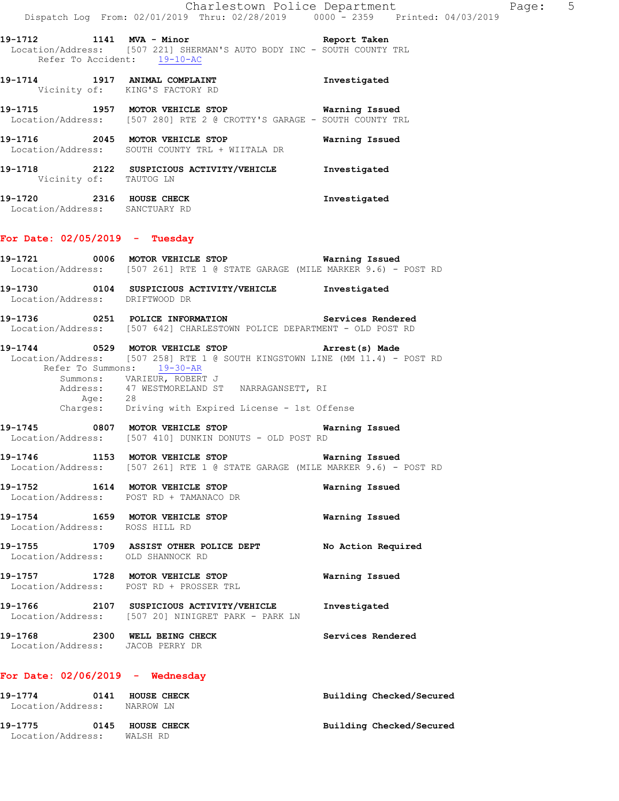**19-1712 1141 MVA - Minor Report Taken**  Location/Address: [507 221] SHERMAN'S AUTO BODY INC - SOUTH COUNTY TRL Refer To Accident: 19-10-AC

**19-1714 1917 ANIMAL COMPLAINT Investigated**  Vicinity of: KING'S FACTORY RD

**19-1715 1957 MOTOR VEHICLE STOP Warning Issued**  Location/Address: [507 280] RTE 2 @ CROTTY'S GARAGE - SOUTH COUNTY TRL

**19-1716 2045 MOTOR VEHICLE STOP Warning Issued**  Location/Address: SOUTH COUNTY TRL + WIITALA DR

**19-1718 2122 SUSPICIOUS ACTIVITY/VEHICLE Investigated**  Vicinity of: TAUTOG LN

**19-1720 2316 HOUSE CHECK Investigated**  Location/Address: SANCTUARY RD

### **For Date: 02/05/2019 - Tuesday**

Location/Address: DRIFTWOOD DR

**19-1721 0006 MOTOR VEHICLE STOP Warning Issued**  Location/Address: [507 261] RTE 1 @ STATE GARAGE (MILE MARKER 9.6) - POST RD **19-1730 0104 SUSPICIOUS ACTIVITY/VEHICLE Investigated** 

**19-1736 0251 POLICE INFORMATION Services Rendered**  Location/Address: [507 642] CHARLESTOWN POLICE DEPARTMENT - OLD POST RD

**19-1744 0529 MOTOR VEHICLE STOP Arrest(s) Made**  Location/Address: [507 258] RTE 1 @ SOUTH KINGSTOWN LINE (MM 11.4) - POST RD<br>Refer To Summons: 19-30-AR Refer To Summons: 19-30-AR Summons: VARIEUR, ROBERT J Address: 47 WESTMORELAND ST NARRAGANSETT, RI Age: 28 Charges: Driving with Expired License - 1st Offense

**19-1745 0807 MOTOR VEHICLE STOP Warning Issued**  Location/Address: [507 410] DUNKIN DONUTS - OLD POST RD

**19-1746 1153 MOTOR VEHICLE STOP Warning Issued**  Location/Address: [507 261] RTE 1 @ STATE GARAGE (MILE MARKER 9.6) - POST RD

**19-1752 1614 MOTOR VEHICLE STOP Warning Issued**  Location/Address: POST RD + TAMANACO DR

**19-1754 1659 MOTOR VEHICLE STOP Warning Issued**  Location/Address: ROSS HILL RD

**19-1755 1709 ASSIST OTHER POLICE DEPT No Action Required**  Location/Address: OLD SHANNOCK RD

**19-1757 1728 MOTOR VEHICLE STOP Warning Issued**  Location/Address: POST RD + PROSSER TRL

**19-1766 2107 SUSPICIOUS ACTIVITY/VEHICLE Investigated**  Location/Address: [507 20] NINIGRET PARK - PARK LN **19-1768 2300 WELL BEING CHECK Services Rendered**  Location/Address: JACOB PERRY DR

## **For Date: 02/06/2019 - Wednesday**

**19-1774 0141 HOUSE CHECK Building Checked/Secured**  Location/Address: NARROW LN **19-1775 0145 HOUSE CHECK Building Checked/Secured**  Location/Address: WALSH RD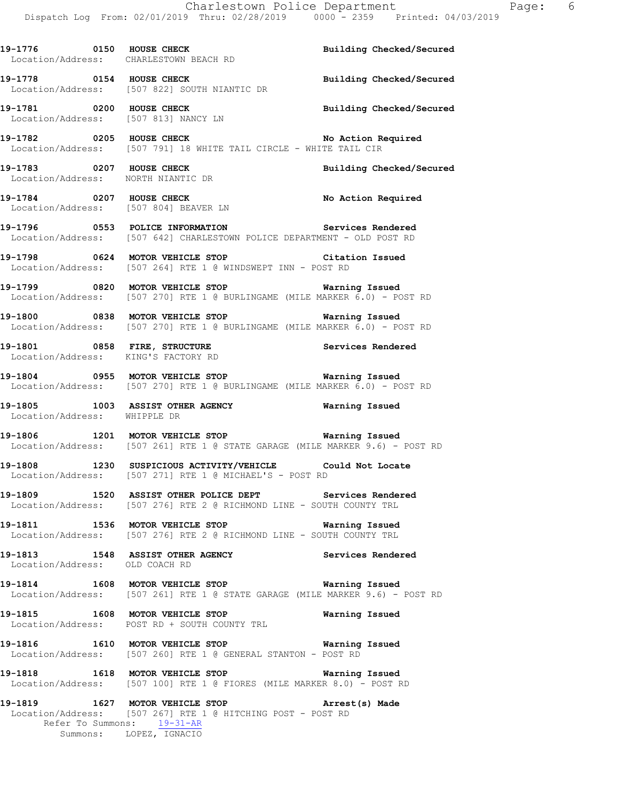**19-1776 0150 HOUSE CHECK Building Checked/Secured**  Location/Address: CHARLESTOWN BEACH RD **19-1778 0154 HOUSE CHECK Building Checked/Secured**  Location/Address: [507 822] SOUTH NIANTIC DR **19-1781 0200 HOUSE CHECK Building Checked/Secured**  Location/Address: [507 813] NANCY LN **19-1782 0205 HOUSE CHECK No Action Required**  Location/Address: [507 791] 18 WHITE TAIL CIRCLE - WHITE TAIL CIR **19-1783 0207 HOUSE CHECK Building Checked/Secured**  Location/Address: NORTH NIANTIC DR 19-1784 **0207 HOUSE CHECK 19-1784** No Action Required Location/Address: [507 804] BEAVER LN **19-1796 0553 POLICE INFORMATION Services Rendered**  Location/Address: [507 642] CHARLESTOWN POLICE DEPARTMENT - OLD POST RD **19-1798 0624 MOTOR VEHICLE STOP Citation Issued**  Location/Address: [507 264] RTE 1 @ WINDSWEPT INN - POST RD **19-1799 0820 MOTOR VEHICLE STOP Warning Issued**  Location/Address: [507 270] RTE 1 @ BURLINGAME (MILE MARKER 6.0) - POST RD **19-1800 0838 MOTOR VEHICLE STOP Warning Issued**  Location/Address: [507 270] RTE 1 @ BURLINGAME (MILE MARKER 6.0) - POST RD **19-1801 0858 FIRE, STRUCTURE Services Rendered**  Location/Address: KING'S FACTORY RD **19-1804 0955 MOTOR VEHICLE STOP Warning Issued**  Location/Address: [507 270] RTE 1 @ BURLINGAME (MILE MARKER 6.0) - POST RD **19-1805 1003 ASSIST OTHER AGENCY Warning Issued**  Location/Address: WHIPPLE DR **19-1806 1201 MOTOR VEHICLE STOP Warning Issued**  Location/Address: [507 261] RTE 1 @ STATE GARAGE (MILE MARKER 9.6) - POST RD **19-1808 1230 SUSPICIOUS ACTIVITY/VEHICLE Could Not Locate**  Location/Address: [507 271] RTE 1 @ MICHAEL'S - POST RD **19-1809 1520 ASSIST OTHER POLICE DEPT Services Rendered**  Location/Address: [507 276] RTE 2 @ RICHMOND LINE - SOUTH COUNTY TRL **19-1811 1536 MOTOR VEHICLE STOP Warning Issued**  Location/Address: [507 276] RTE 2 @ RICHMOND LINE - SOUTH COUNTY TRL **19-1813 1548 ASSIST OTHER AGENCY Services Rendered**  Location/Address: OLD COACH RD **19-1814 1608 MOTOR VEHICLE STOP Warning Issued**  Location/Address: [507 261] RTE 1 @ STATE GARAGE (MILE MARKER 9.6) - POST RD **19-1815 1608 MOTOR VEHICLE STOP Warning Issued**  Location/Address: POST RD + SOUTH COUNTY TRL **19-1816 1610 MOTOR VEHICLE STOP Warning Issued**  Location/Address: [507 260] RTE 1 @ GENERAL STANTON - POST RD **19-1818 1618 MOTOR VEHICLE STOP Warning Issued**  Location/Address: [507 100] RTE 1 @ FIORES (MILE MARKER 8.0) - POST RD **19-1819 1627 MOTOR VEHICLE STOP Arrest(s) Made**  Location/Address: [507 267] RTE 1 @ HITCHING POST - POST RD Refer To Summons: 19-31-AR Summons: LOPEZ, IGNACIO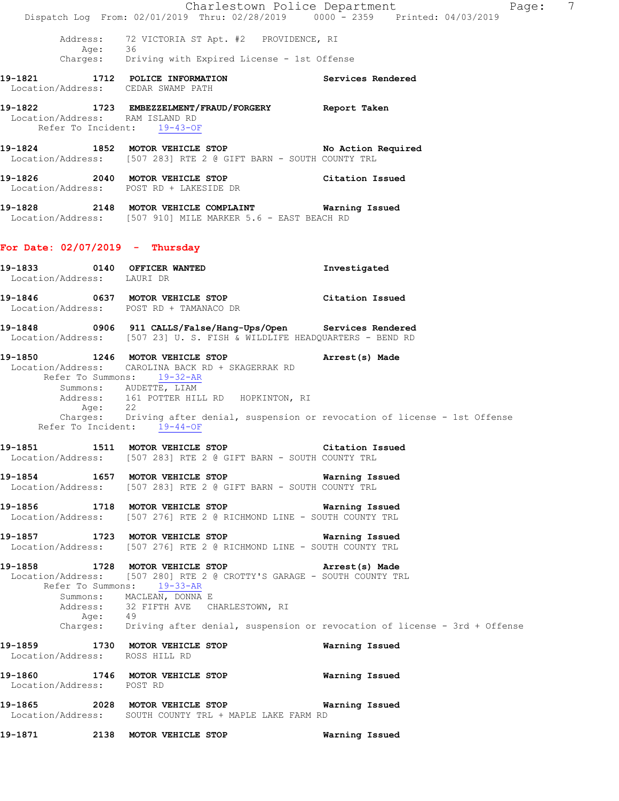|                                                                | Dispatch Log From: 02/01/2019 Thru: 02/28/2019 0000 - 2359 Printed: 04/03/2019                                                                                                                                                                                                                           | Charlestown Police Department<br>$\overline{7}$<br>Page:                           |
|----------------------------------------------------------------|----------------------------------------------------------------------------------------------------------------------------------------------------------------------------------------------------------------------------------------------------------------------------------------------------------|------------------------------------------------------------------------------------|
| Address:                                                       | 72 VICTORIA ST Apt. #2 PROVIDENCE, RI<br>Age: 36<br>Charges: Driving with Expired License - 1st Offense                                                                                                                                                                                                  |                                                                                    |
| Location/Address: CEDAR SWAMP PATH                             | 19-1821 1712 POLICE INFORMATION                                                                                                                                                                                                                                                                          | Services Rendered                                                                  |
| Location/Address: RAM ISLAND RD<br>Refer To Incident: 19-43-OF | 19-1822 1723 EMBEZZELMENT/FRAUD/FORGERY Report Taken                                                                                                                                                                                                                                                     |                                                                                    |
|                                                                | 19-1824 1852 MOTOR VEHICLE STOP No Action Required<br>Location/Address: [507 283] RTE 2 @ GIFT BARN - SOUTH COUNTY TRL                                                                                                                                                                                   |                                                                                    |
|                                                                | 19-1826 2040 MOTOR VEHICLE STOP<br>Location/Address: POST RD + LAKESIDE DR                                                                                                                                                                                                                               | Citation Issued                                                                    |
|                                                                | 19-1828 2148 MOTOR VEHICLE COMPLAINT Warning Issued<br>Location/Address: [507 910] MILE MARKER 5.6 - EAST BEACH RD                                                                                                                                                                                       |                                                                                    |
| For Date: $02/07/2019$ - Thursday                              |                                                                                                                                                                                                                                                                                                          |                                                                                    |
| 19-1833 0140 OFFICER WANTED<br>Location/Address: LAURI DR      |                                                                                                                                                                                                                                                                                                          | Investigated                                                                       |
|                                                                | 19-1846 0637 MOTOR VEHICLE STOP<br>Location/Address: POST RD + TAMANACO DR                                                                                                                                                                                                                               | Citation Issued                                                                    |
|                                                                | Location/Address: [507 23] U.S. FISH & WILDLIFE HEADQUARTERS - BEND RD                                                                                                                                                                                                                                   |                                                                                    |
| Refer To Incident: 19-44-OF                                    | 19-1850 1246 MOTOR VEHICLE STOP (Arrest(s) Made<br>Location/Address: CAROLINA BACK RD + SKAGERRAK RD<br>Refer To Summons: 19-32-AR<br>Summons: AUDETTE, LIAM<br>Address: 161 POTTER HILL RD HOPKINTON, RI<br>Age: 22<br>Charges: Driving after denial, suspension or revocation of license - 1st Offense |                                                                                    |
|                                                                | 19-1851 1511 MOTOR VEHICLE STOP<br>Location/Address: [507 283] RTE 2 @ GIFT BARN - SOUTH COUNTY TRL                                                                                                                                                                                                      | Citation Issued                                                                    |
|                                                                | 19-1854 1657 MOTOR VEHICLE STOP <b>WATILLE STOP</b> Warning Issued<br>Location/Address: [507 283] RTE 2 @ GIFT BARN - SOUTH COUNTY TRL                                                                                                                                                                   |                                                                                    |
|                                                                | 19-1856 1718 MOTOR VEHICLE STOP <b>WATER WATER</b><br>Location/Address: [507 276] RTE 2 @ RICHMOND LINE - SOUTH COUNTY TRL                                                                                                                                                                               |                                                                                    |
|                                                                | 19-1857 1723 MOTOR VEHICLE STOP 1997 Warning Issued<br>Location/Address: [507 276] RTE 2 @ RICHMOND LINE - SOUTH COUNTY TRL                                                                                                                                                                              |                                                                                    |
| Age: 49                                                        | 19-1858 1728 MOTOR VEHICLE STOP 19-1858 Arrest(s) Made<br>Location/Address: [507 280] RTE 2 @ CROTTY'S GARAGE - SOUTH COUNTY TRL<br>Refer To Summons: 19-33-AR<br>Summons: MACLEAN, DONNA E<br>Address: 32 FIFTH AVE CHARLESTOWN, RI                                                                     | Charges: Driving after denial, suspension or revocation of license - 3rd + Offense |
| Location/Address: ROSS HILL RD                                 | 19-1859 1730 MOTOR VEHICLE STOP                                                                                                                                                                                                                                                                          | Warning Issued                                                                     |
| Location/Address: POST RD                                      | 19-1860 1746 MOTOR VEHICLE STOP <b>WATILLE STOP</b> Warning Issued                                                                                                                                                                                                                                       |                                                                                    |
|                                                                | 19-1865 2028 MOTOR VEHICLE STOP<br>Location/Address: SOUTH COUNTY TRL + MAPLE LAKE FARM RD                                                                                                                                                                                                               | Warning Issued                                                                     |
|                                                                |                                                                                                                                                                                                                                                                                                          | Warning Issued                                                                     |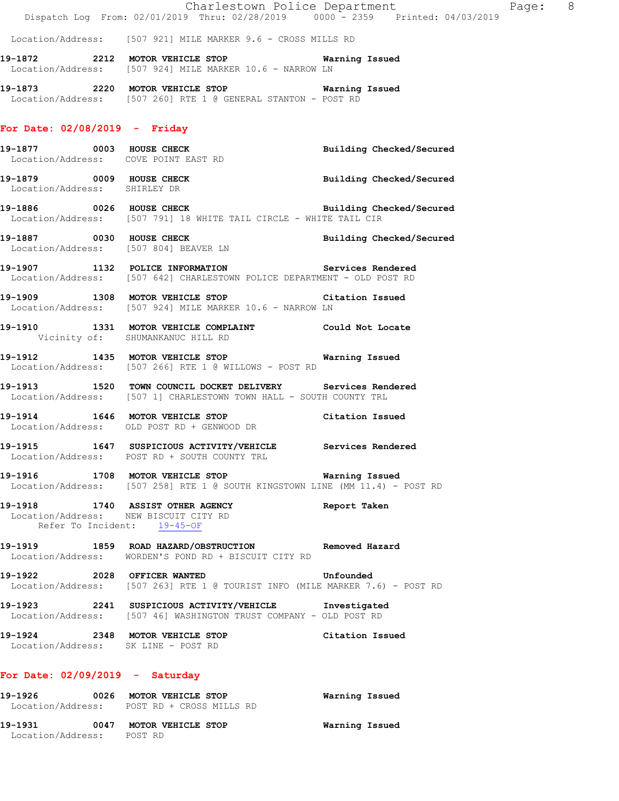|                                                          | Charlestown Police Department<br>Dispatch Log From: 02/01/2019 Thru: 02/28/2019 0000 - 2359 Printed: 04/03/2019                             |                                 |
|----------------------------------------------------------|---------------------------------------------------------------------------------------------------------------------------------------------|---------------------------------|
|                                                          | Location/Address: [507 921] MILE MARKER 9.6 - CROSS MILLS RD                                                                                |                                 |
|                                                          | 19-1872  2212 MOTOR VEHICLE STOP    Varning Issued<br>Location/Address: [507 924] MILE MARKER 10.6 - NARROW LN                              |                                 |
|                                                          | 19-1873 2220 MOTOR VEHICLE STOP 6 Warning Issued<br>Location/Address: [507 260] RTE 1 @ GENERAL STANTON - POST RD                           |                                 |
| For Date: $02/08/2019$ - Friday                          |                                                                                                                                             |                                 |
| Location/Address: COVE POINT EAST RD                     | 19-1877 0003 HOUSE CHECK                                                                                                                    | Building Checked/Secured        |
| 19-1879 0009 HOUSE CHECK<br>Location/Address: SHIRLEY DR |                                                                                                                                             | <b>Building Checked/Secured</b> |
|                                                          | 19-1886 0026 HOUSE CHECK Building Checked/Secured<br>Location/Address: [507 791] 18 WHITE TAIL CIRCLE - WHITE TAIL CIR                      |                                 |
|                                                          | 19-1887 0030 HOUSE CHECK<br>Location/Address: [507 804] BEAVER LN                                                                           | Building Checked/Secured        |
|                                                          | 19-1907 1132 POLICE INFORMATION Services Rendered<br>Location/Address: [507 642] CHARLESTOWN POLICE DEPARTMENT - OLD POST RD                |                                 |
|                                                          | 19-1909 1308 MOTOR VEHICLE STOP Citation Issued<br>Location/Address: [507 924] MILE MARKER 10.6 - NARROW LN                                 |                                 |
| Vicinity of: SHUMANKANUC HILL RD                         | 19-1910 1331 MOTOR VEHICLE COMPLAINT Could Not Locate                                                                                       |                                 |
|                                                          | 19-1912 1435 MOTOR VEHICLE STOP 6 Warning Issued<br>Location/Address: [507 266] RTE 1 @ WILLOWS - POST RD                                   |                                 |
|                                                          | 19-1913 1520 TOWN COUNCIL DOCKET DELIVERY Services Rendered<br>Location/Address: [507 1] CHARLESTOWN TOWN HALL - SOUTH COUNTY TRL           |                                 |
|                                                          | 19-1914 1646 MOTOR VEHICLE STOP Citation Issued<br>Location/Address: OLD POST RD + GENWOOD DR                                               |                                 |
|                                                          | 19-1915 1647 SUSPICIOUS ACTIVITY/VEHICLE Services Rendered<br>Location/Address: POST RD + SOUTH COUNTY TRL                                  |                                 |
|                                                          | 19-1916 1708 MOTOR VEHICLE STOP <b>WATER</b> Warning Issued<br>Location/Address: [507 258] RTE 1 @ SOUTH KINGSTOWN LINE (MM 11.4) - POST RD |                                 |
| Refer To Incident: 19-45-OF                              | 19-1918 1740 ASSIST OTHER AGENCY<br>Location/Address: NEW BISCUIT CITY RD                                                                   | Report Taken                    |
|                                                          | 19-1919 1859 ROAD HAZARD/OBSTRUCTION Removed Hazard<br>Location/Address: WORDEN'S POND RD + BISCUIT CITY RD                                 |                                 |
|                                                          | 19-1922 2028 OFFICER WANTED<br>Location/Address: [507 263] RTE 1 @ TOURIST INFO (MILE MARKER 7.6) - POST RD                                 | Unfounded                       |
|                                                          | 19-1923 2241 SUSPICIOUS ACTIVITY/VEHICLE Investigated<br>Location/Address: [507 46] WASHINGTON TRUST COMPANY - OLD POST RD                  |                                 |
| Location/Address: SK LINE - POST RD                      | 19-1924 2348 MOTOR VEHICLE STOP Citation Issued                                                                                             |                                 |
| For Date: $02/09/2019$ - Saturday                        |                                                                                                                                             |                                 |
|                                                          | 19-1926 		 0026 MOTOR VEHICLE STOP 		 Warning Issued<br>Location/Address: POST RD + CROSS MILLS RD                                          |                                 |
|                                                          |                                                                                                                                             |                                 |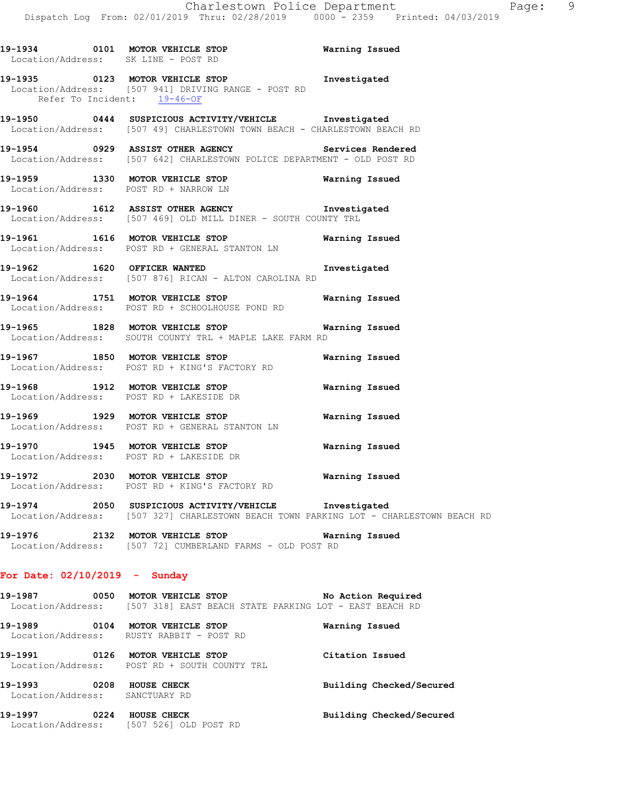|  | Location/Address: SK LINE - POST RD                                                                                                                 |                       |
|--|-----------------------------------------------------------------------------------------------------------------------------------------------------|-----------------------|
|  | 19-1935 0123 MOTOR VEHICLE STOP 1nvestigated<br>Location/Address: [507 941] DRIVING RANGE - POST RD<br>Refer To Incident: 19-46-OF                  |                       |
|  | 19-1950 0444 SUSPICIOUS ACTIVITY/VEHICLE <b>Investigated</b><br>Location/Address: [507 49] CHARLESTOWN TOWN BEACH - CHARLESTOWN BEACH RD            |                       |
|  | 19-1954 <b>1929</b> ASSIST OTHER AGENCY <b>19-1954</b> Services Rendered<br>Location/Address: [507 642] CHARLESTOWN POLICE DEPARTMENT - OLD POST RD |                       |
|  | 19-1959 1330 MOTOR VEHICLE STOP <b>Warning Issued</b><br>Location/Address: POST RD + NARROW LN                                                      |                       |
|  | 19-1960 1612 ASSIST OTHER AGENCY Investigated<br>Location/Address: [507 469] OLD MILL DINER - SOUTH COUNTY TRL                                      |                       |
|  | 19-1961 1616 MOTOR VEHICLE STOP<br>Location/Address: POST RD + GENERAL STANTON LN                                                                   | Warning Issued        |
|  | 19-1962 1620 OFFICER WANTED<br>Location/Address: [507 876] RICAN - ALTON CAROLINA RD                                                                | Investigated          |
|  | 19-1964 1751 MOTOR VEHICLE STOP Warning Issued<br>Location/Address: POST RD + SCHOOLHOUSE POND RD                                                   |                       |
|  | 19-1965 1828 MOTOR VEHICLE STOP Warning Issued<br>Location/Address: SOUTH COUNTY TRL + MAPLE LAKE FARM RD                                           |                       |
|  | 19-1967 1850 MOTOR VEHICLE STOP 1991 Warning Issued<br>Location/Address: POST RD + KING'S FACTORY RD                                                |                       |
|  | 19-1968 1912 MOTOR VEHICLE STOP <b>Warning Issued</b><br>Location/Address: POST RD + LAKESIDE DR                                                    |                       |
|  | 19-1969 1929 MOTOR VEHICLE STOP<br>Location/Address: POST RD + GENERAL STANTON LN                                                                   | Warning Issued        |
|  | 19-1970 1945 MOTOR VEHICLE STOP<br>Location/Address: POST RD + LAKESIDE DR                                                                          | <b>Warning Issued</b> |
|  | 19-1972 2030 MOTOR VEHICLE STOP <b>WARELL</b> STOP<br>Location/Address: POST RD + KING'S FACTORY RD                                                 |                       |
|  | 19-1974 2050 SUSPICIOUS ACTIVITY/VEHICLE Investigated<br>Location/Address: [507 327] CHARLESTOWN BEACH TOWN PARKING LOT - CHARLESTOWN BEACH RD      |                       |
|  | 19-1976 2132 MOTOR VEHICLE STOP <b>Warning Issued</b><br>Location/Address: [507 72] CUMBERLAND FARMS - OLD POST RD                                  |                       |
|  |                                                                                                                                                     |                       |

## **For Date: 02/10/2019 - Sunday**

| 19–1987           | 0050 MOTOR VEHICLE STOP |  |  |                                                        |  | No Action Required |  |
|-------------------|-------------------------|--|--|--------------------------------------------------------|--|--------------------|--|
| Location/Address: |                         |  |  | [507 318] EAST BEACH STATE PARKING LOT - EAST BEACH RD |  |                    |  |

**19-1989 0104 MOTOR VEHICLE STOP Warning Issued**  Location/Address: RUSTY RABBIT - POST RD **19-1991 0126 MOTOR VEHICLE STOP Citation Issued** 

 Location/Address: POST RD + SOUTH COUNTY TRL 19-1993 **0208** HOUSE CHECK **Building Checked/Secured**  Location/Address: SANCTUARY RD **19-1997 0224 HOUSE CHECK Building Checked/Secured**  Location/Address: [507 526] OLD POST RD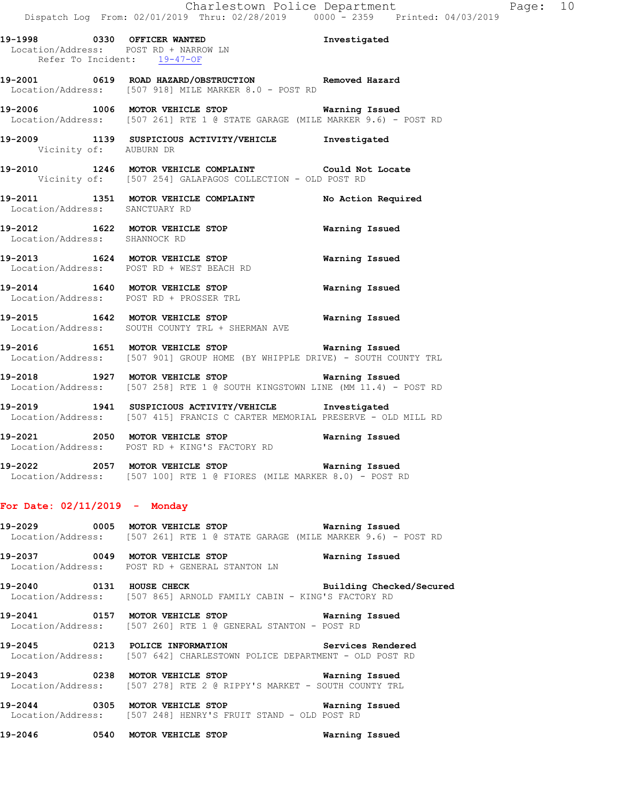**19-1998 0330 OFFICER WANTED Investigated**  Location/Address: POST RD + NARROW LN Refer To Incident: 19-47-OF **19-2001 0619 ROAD HAZARD/OBSTRUCTION Removed Hazard**  Location/Address: [507 918] MILE MARKER 8.0 - POST RD **19-2006 1006 MOTOR VEHICLE STOP Warning Issued**  Location/Address: [507 261] RTE 1 @ STATE GARAGE (MILE MARKER 9.6) - POST RD **19-2009 1139 SUSPICIOUS ACTIVITY/VEHICLE Investigated**  Vicinity of: AUBURN DR **19-2010 1246 MOTOR VEHICLE COMPLAINT Could Not Locate**  Vicinity of: [507 254] GALAPAGOS COLLECTION - OLD POST RD **19-2011 1351 MOTOR VEHICLE COMPLAINT No Action Required**  Location/Address: SANCTUARY RD **19-2012 1622 MOTOR VEHICLE STOP Warning Issued**  Location/Address: SHANNOCK RD **19-2013 1624 MOTOR VEHICLE STOP Warning Issued** 

**19-2014 1640 MOTOR VEHICLE STOP Warning Issued**  Location/Address: POST RD + PROSSER TRL

Location/Address: POST RD + WEST BEACH RD

- **19-2015 1642 MOTOR VEHICLE STOP Warning Issued**  Location/Address: SOUTH COUNTY TRL + SHERMAN AVE
- **19-2016 1651 MOTOR VEHICLE STOP Warning Issued**  Location/Address: [507 901] GROUP HOME (BY WHIPPLE DRIVE) - SOUTH COUNTY TRL
- **19-2018 1927 MOTOR VEHICLE STOP Warning Issued**  Location/Address: [507 258] RTE 1 @ SOUTH KINGSTOWN LINE (MM 11.4) - POST RD
- **19-2019 1941 SUSPICIOUS ACTIVITY/VEHICLE Investigated**  Location/Address: [507 415] FRANCIS C CARTER MEMORIAL PRESERVE - OLD MILL RD
- **19-2021 2050 MOTOR VEHICLE STOP Warning Issued**  Location/Address: POST RD + KING'S FACTORY RD
- **19-2022 2057 MOTOR VEHICLE STOP Warning Issued**  Location/Address: [507 100] RTE 1 @ FIORES (MILE MARKER 8.0) - POST RD

#### **For Date: 02/11/2019 - Monday**

**19-2029 0005 MOTOR VEHICLE STOP Warning Issued**  Location/Address: [507 261] RTE 1 @ STATE GARAGE (MILE MARKER 9.6) - POST RD

**19-2037 0049 MOTOR VEHICLE STOP Warning Issued**  Location/Address: POST RD + GENERAL STANTON LN

**19-2040 0131 HOUSE CHECK Building Checked/Secured**  Location/Address: [507 865] ARNOLD FAMILY CABIN - KING'S FACTORY RD

**19-2041 0157 MOTOR VEHICLE STOP Warning Issued**  Location/Address: [507 260] RTE 1 @ GENERAL STANTON - POST RD

**19-2045 0213 POLICE INFORMATION Services Rendered**  Location/Address: [507 642] CHARLESTOWN POLICE DEPARTMENT - OLD POST RD

**19-2043 0238 MOTOR VEHICLE STOP Warning Issued**  Location/Address: [507 278] RTE 2 @ RIPPY'S MARKET - SOUTH COUNTY TRL

**19-2044 0305 MOTOR VEHICLE STOP Warning Issued**  Location/Address: [507 248] HENRY'S FRUIT STAND - OLD POST RD

**19-2046 0540 MOTOR VEHICLE STOP Warning Issued**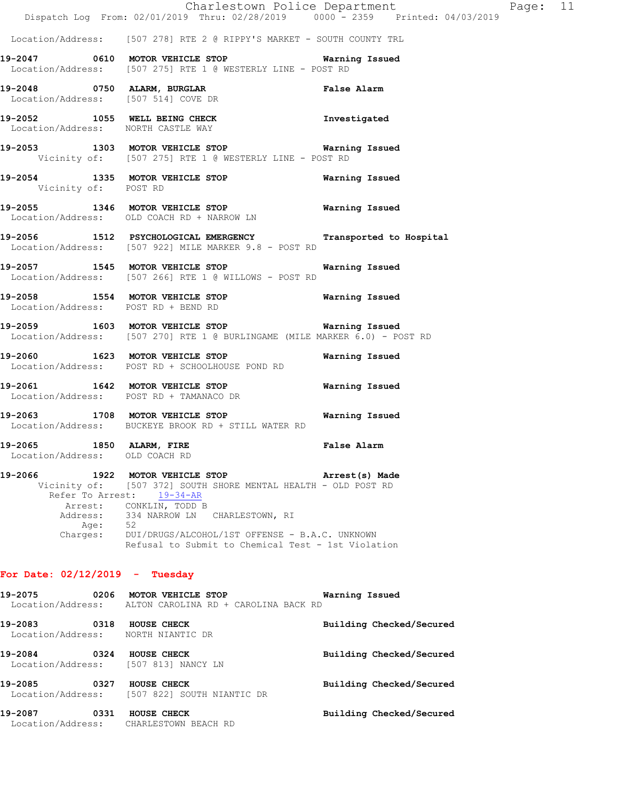|                                                                | Dispatch Log From: 02/01/2019 Thru: 02/28/2019 0000 <sup>-</sup> 2359 Printed: 04/03/2019                                                                                                                                                                                      | Charlestown Police Department | Page: 11 |  |
|----------------------------------------------------------------|--------------------------------------------------------------------------------------------------------------------------------------------------------------------------------------------------------------------------------------------------------------------------------|-------------------------------|----------|--|
|                                                                | Location/Address: [507 278] RTE 2 @ RIPPY'S MARKET - SOUTH COUNTY TRL                                                                                                                                                                                                          |                               |          |  |
|                                                                | Location/Address: [507 275] RTE 1 @ WESTERLY LINE - POST RD                                                                                                                                                                                                                    |                               |          |  |
|                                                                | 19-2048 0750 ALARM, BURGLAR<br>Location/Address: [507 514] COVE DR                                                                                                                                                                                                             | False Alarm                   |          |  |
| Location/Address: NORTH CASTLE WAY                             | 19-2052 1055 WELL BEING CHECK 100 Investigated                                                                                                                                                                                                                                 |                               |          |  |
|                                                                | 19-2053 1303 MOTOR VEHICLE STOP 6 Warning Issued<br>Vicinity of: [507 275] RTE 1 @ WESTERLY LINE - POST RD                                                                                                                                                                     |                               |          |  |
| Vicinity of: POST RD                                           | 19-2054 1335 MOTOR VEHICLE STOP 6 Warning Issued                                                                                                                                                                                                                               |                               |          |  |
|                                                                | 19-2055 1346 MOTOR VEHICLE STOP 6 Warning Issued<br>Location/Address: OLD COACH RD + NARROW LN                                                                                                                                                                                 |                               |          |  |
|                                                                | 19-2056 1512 PSYCHOLOGICAL EMERGENCY Transported to Hospital<br>Location/Address: [507 922] MILE MARKER 9.8 - POST RD                                                                                                                                                          |                               |          |  |
|                                                                | 19-2057 1545 MOTOR VEHICLE STOP <b>WAY</b> Warning Issued<br>Location/Address: [507 266] RTE 1 @ WILLOWS - POST RD                                                                                                                                                             |                               |          |  |
|                                                                | 19-2058 1554 MOTOR VEHICLE STOP 6 Warning Issued<br>Location/Address: POST RD + BEND RD                                                                                                                                                                                        |                               |          |  |
|                                                                | 19-2059 1603 MOTOR VEHICLE STOP Warning Issued<br>Location/Address: [507 270] RTE 1 @ BURLINGAME (MILE MARKER 6.0) - POST RD                                                                                                                                                   |                               |          |  |
|                                                                | 19-2060 1623 MOTOR VEHICLE STOP<br>Location/Address: POST RD + SCHOOLHOUSE POND RD                                                                                                                                                                                             | Warning Issued                |          |  |
|                                                                | 19-2061 1642 MOTOR VEHICLE STOP Warning Issued<br>Location/Address: POST RD + TAMANACO DR                                                                                                                                                                                      |                               |          |  |
|                                                                | 19-2063 1708 MOTOR VEHICLE STOP 6 Warning Issued<br>Location/Address: BUCKEYE BROOK RD + STILL WATER RD                                                                                                                                                                        |                               |          |  |
| 19-2065<br>Location/Address: OLD COACH RD                      | 1850 ALARM, FIRE                                                                                                                                                                                                                                                               | False Alarm                   |          |  |
| 19-2066<br>Age: 52                                             | 1922 MOTOR VEHICLE STOP THE PART Arrest(s) Made<br>Vicinity of: [507 372] SOUTH SHORE MENTAL HEALTH - OLD POST RD<br>Refer To Arrest: 19-34-AR<br>Arrest: CONKLIN, TODD B<br>Address: 334 NARROW LN CHARLESTOWN, RI<br>Charges: DUI/DRUGS/ALCOHOL/1ST OFFENSE - B.A.C. UNKNOWN |                               |          |  |
| For Date: $02/12/2019$ - Tuesday                               | Refusal to Submit to Chemical Test - 1st Violation                                                                                                                                                                                                                             |                               |          |  |
|                                                                | 19-2075 0206 MOTOR VEHICLE STOP                                                                                                                                                                                                                                                | Warning Issued                |          |  |
| 19-2083 0318 HOUSE CHECK<br>Location/Address: NORTH NIANTIC DR | Location/Address: ALTON CAROLINA RD + CAROLINA BACK RD                                                                                                                                                                                                                         | Building Checked/Secured      |          |  |

19-2084 **0324 HOUSE CHECK 19-2084** Building Checked/Secured Location/Address: [507 813] NANCY LN **19-2085 0327 HOUSE CHECK Building Checked/Secured**  Location/Address: [507 822] SOUTH NIANTIC DR

**19-2087 0331 HOUSE CHECK Building Checked/Secured**  Location/Address: CHARLESTOWN BEACH RD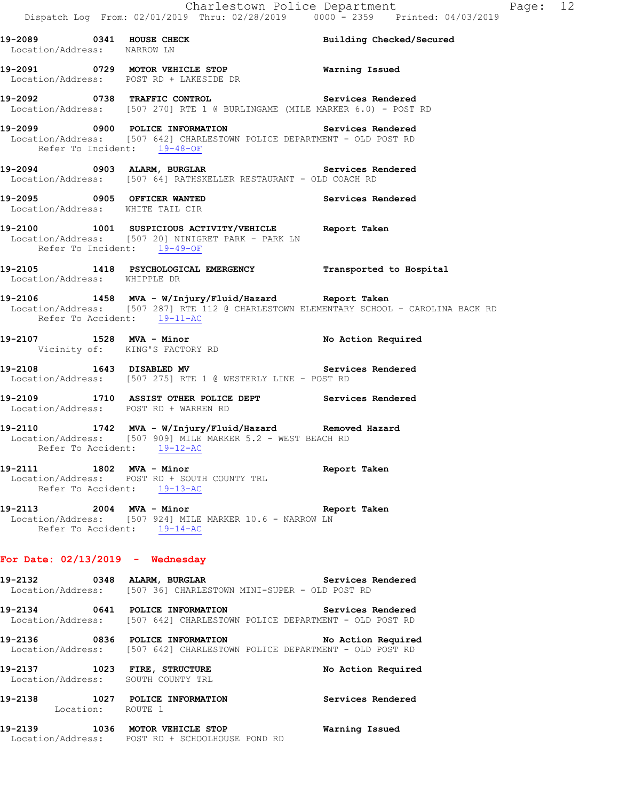**19-2089 0341 HOUSE CHECK Building Checked/Secured**  Location/Address: NARROW LN **19-2091 0729 MOTOR VEHICLE STOP Warning Issued**  Location/Address: POST RD + LAKESIDE DR **19-2092 0738 TRAFFIC CONTROL Services Rendered**  Location/Address: [507 270] RTE 1 @ BURLINGAME (MILE MARKER 6.0) - POST RD **19-2099 0900 POLICE INFORMATION Services Rendered**  Location/Address: [507 642] CHARLESTOWN POLICE DEPARTMENT - OLD POST RD Refer To Incident: 19-48-OF **19-2094 0903 ALARM, BURGLAR Services Rendered**  Location/Address: [507 64] RATHSKELLER RESTAURANT - OLD COACH RD **19-2095 0905 OFFICER WANTED Services Rendered**  Location/Address: WHITE TAIL CIR **19-2100 1001 SUSPICIOUS ACTIVITY/VEHICLE Report Taken**  Location/Address: [507 20] NINIGRET PARK - PARK LN Refer To Incident: 19-49-OF **19-2105 1418 PSYCHOLOGICAL EMERGENCY Transported to Hospital**  Location/Address: WHIPPLE DR **19-2106 1458 MVA - W/Injury/Fluid/Hazard Report Taken**  Location/Address: [507 287] RTE 112 @ CHARLESTOWN ELEMENTARY SCHOOL - CAROLINA BACK RD Refer To Accident: 19-11-AC **19-2107 1528 MVA - Minor No Action Required**  Vicinity of: KING'S FACTORY RD 19-2108 1643 DISABLED MV **Services Rendered**  Location/Address: [507 275] RTE 1 @ WESTERLY LINE - POST RD **19-2109 1710 ASSIST OTHER POLICE DEPT Services Rendered Location/Address:** POST RD + WARREN RD Location/Address: POST RD + WARREN RD **19-2110 1742 MVA - W/Injury/Fluid/Hazard Removed Hazard**  Location/Address: [507 909] MILE MARKER 5.2 - WEST BEACH RD Refer To Accident: 19-12-AC **19-2111 1802 MVA - Minor Report Taken**  Location/Address: POST RD + SOUTH COUNTY TRL Refer To Accident: 19-13-AC **19-2113 2004 MVA - Minor Report Taken**  Location/Address: [507 924] MILE MARKER 10.6 - NARROW LN Refer To Accident: 19-14-AC **For Date: 02/13/2019 - Wednesday 19-2132 0348 ALARM, BURGLAR Services Rendered**  Location/Address: [507 36] CHARLESTOWN MINI-SUPER - OLD POST RD **19-2134 0641 POLICE INFORMATION Services Rendered**  Location/Address: [507 642] CHARLESTOWN POLICE DEPARTMENT - OLD POST RD **19-2136 0836 POLICE INFORMATION No Action Required**  Location/Address: [507 642] CHARLESTOWN POLICE DEPARTMENT - OLD POST RD **19-2137 1023 FIRE, STRUCTURE No Action Required**  Location/Address: SOUTH COUNTY TRL **19-2138 1027 POLICE INFORMATION Services Rendered**  Location: ROUTE 1 **19-2139 1036 MOTOR VEHICLE STOP Warning Issued**  Location/Address: POST RD + SCHOOLHOUSE POND RD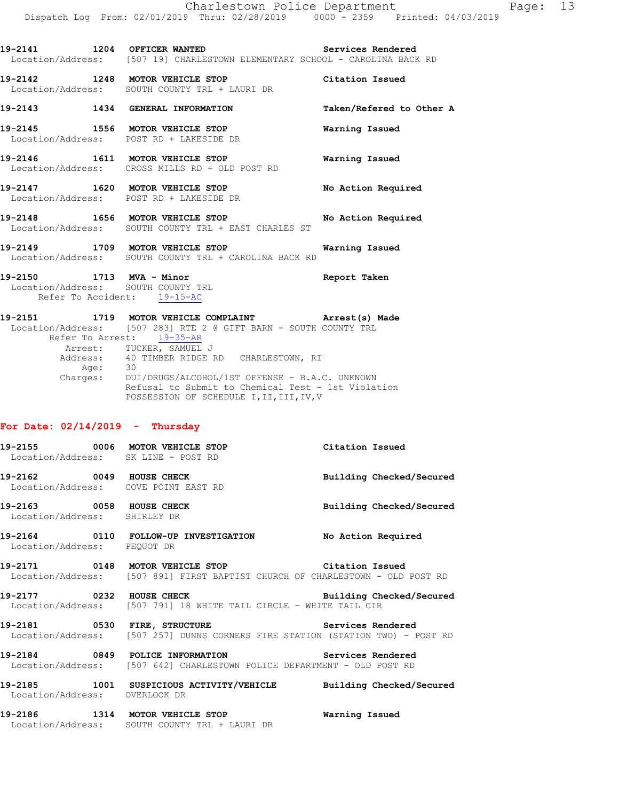**19-2141 1204 OFFICER WANTED Services Rendered**  Location/Address: [507 19] CHARLESTOWN ELEMENTARY SCHOOL - CAROLINA BACK RD

**19-2142 1248 MOTOR VEHICLE STOP Citation Issued**  Location/Address: SOUTH COUNTY TRL + LAURI DR

**19-2143 1434 GENERAL INFORMATION Taken/Refered to Other A** 

**19-2145 1556 MOTOR VEHICLE STOP Warning Issued**  Location/Address: POST RD + LAKESIDE DR

**19-2146 1611 MOTOR VEHICLE STOP Warning Issued**  Location/Address: CROSS MILLS RD + OLD POST RD

**19-2147 1620 MOTOR VEHICLE STOP No Action Required**  Location/Address: POST RD + LAKESIDE DR

**19-2148 1656 MOTOR VEHICLE STOP No Action Required**  Location/Address: SOUTH COUNTY TRL + EAST CHARLES ST

**19-2149 1709 MOTOR VEHICLE STOP Warning Issued**  Location/Address: SOUTH COUNTY TRL + CAROLINA BACK RD

**19-2150 1713 MVA - Minor Report Taken**  Location/Address: SOUTH COUNTY TRL Refer To Accident: 19-15-AC

**19-2151 1719 MOTOR VEHICLE COMPLAINT Arrest(s) Made**  Location/Address: [507 283] RTE 2 @ GIFT BARN - SOUTH COUNTY TRL Refer To Arrest: 19-35-AR Arrest: TUCKER, SAMUEL J Address: 40 TIMBER RIDGE RD CHARLESTOWN, RI Address:<br>Age: Charges: DUI/DRUGS/ALCOHOL/1ST OFFENSE - B.A.C. UNKNOWN Refusal to Submit to Chemical Test - 1st Violation POSSESSION OF SCHEDULE I, II, III, IV, V

### **For Date: 02/14/2019 - Thursday**

**19-2155 0006 MOTOR VEHICLE STOP Citation Issued**  Location/Address: SK LINE - POST RD **19-2162 0049 HOUSE CHECK Building Checked/Secured**  Location/Address: COVE POINT EAST RD **19-2163 0058 HOUSE CHECK Building Checked/Secured**  Location/Address: SHIRLEY DR **19-2164 0110 FOLLOW-UP INVESTIGATION No Action Required**  Location/Address: PEQUOT DR **19-2171 0148 MOTOR VEHICLE STOP Citation Issued**  Location/Address: [507 891] FIRST BAPTIST CHURCH OF CHARLESTOWN - OLD POST RD **19-2177 0232 HOUSE CHECK Building Checked/Secured**  Location/Address: [507 791] 18 WHITE TAIL CIRCLE - WHITE TAIL CIR 19-2181 **0530 FIRE, STRUCTURE 19-2181** Services Rendered Location/Address: [507 257] DUNNS CORNERS FIRE STATION (STATION TWO) - POST RD **19-2184 0849 POLICE INFORMATION Services Rendered**  Location/Address: [507 642] CHARLESTOWN POLICE DEPARTMENT - OLD POST RD **19-2185 1001 SUSPICIOUS ACTIVITY/VEHICLE Building Checked/Secured**  Location/Address: OVERLOOK DR **19-2186 1314 MOTOR VEHICLE STOP Warning Issued**  Location/Address: SOUTH COUNTY TRL + LAURI DR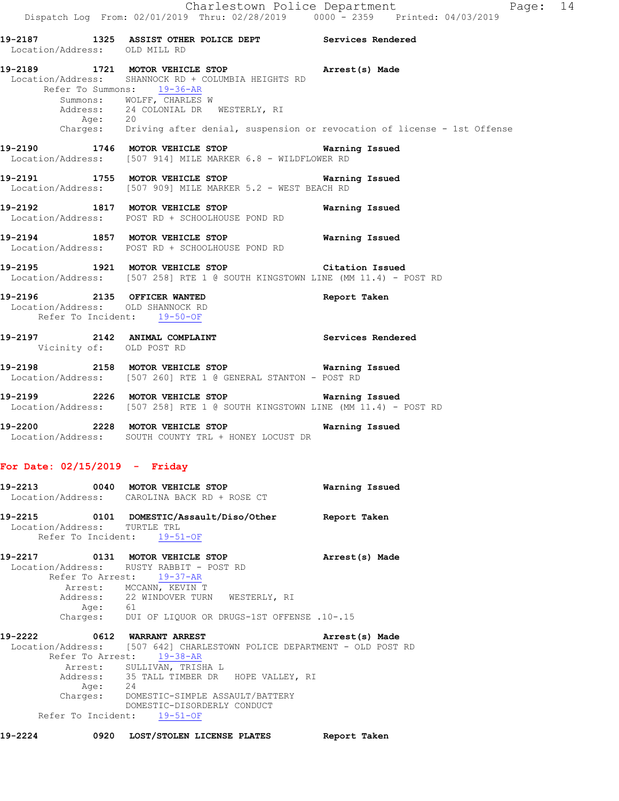**19-2187 1325 ASSIST OTHER POLICE DEPT Services Rendered**  Location/Address: OLD MILL RD **19-2189 1721 MOTOR VEHICLE STOP Arrest(s) Made**  Location/Address: SHANNOCK RD + COLUMBIA HEIGHTS RD Refer To Summons: 19-36-AR Summons: WOLFF, CHARLES W Address: 24 COLONIAL DR WESTERLY, RI Age: 20 Charges: Driving after denial, suspension or revocation of license - 1st Offense **19-2190 1746 MOTOR VEHICLE STOP Warning Issued**  Location/Address: [507 914] MILE MARKER 6.8 - WILDFLOWER RD **19-2191 1755 MOTOR VEHICLE STOP Warning Issued**  Location/Address: [507 909] MILE MARKER 5.2 - WEST BEACH RD

**19-2192 1817 MOTOR VEHICLE STOP Warning Issued**  Location/Address: POST RD + SCHOOLHOUSE POND RD

**19-2194 1857 MOTOR VEHICLE STOP Warning Issued**  Location/Address: POST RD + SCHOOLHOUSE POND RD

**19-2195 1921 MOTOR VEHICLE STOP Citation Issued**  Location/Address: [507 258] RTE 1 @ SOUTH KINGSTOWN LINE (MM 11.4) - POST RD

**19-2196 2135 OFFICER WANTED Report Taken**  Location/Address: OLD SHANNOCK RD Refer To Incident: 19-50-OF

**19-2197 2142 ANIMAL COMPLAINT Services Rendered**  Vicinity of: OLD POST RD

**19-2198 2158 MOTOR VEHICLE STOP Warning Issued**  Location/Address: [507 260] RTE 1 @ GENERAL STANTON - POST RD

**19-2199 2226 MOTOR VEHICLE STOP Warning Issued**  Location/Address: [507 258] RTE 1 @ SOUTH KINGSTOWN LINE (MM 11.4) - POST RD

**19-2200 2228 MOTOR VEHICLE STOP Warning Issued**  Location/Address: SOUTH COUNTY TRL + HONEY LOCUST DR

## **For Date: 02/15/2019 - Friday**

**19-2213 0040 MOTOR VEHICLE STOP Warning Issued**  Location/Address: CAROLINA BACK RD + ROSE CT **19-2215 0101 DOMESTIC/Assault/Diso/Other Report Taken**  Location/Address: TURTLE TRL

Refer To Incident: 19-51-OF

**19-2217 0131 MOTOR VEHICLE STOP Arrest(s) Made**  Location/Address: RUSTY RABBIT - POST RD Refer To Arrest: 19-37-AR Arrest: MCCANN, KEVIN T Address: 22 WINDOVER TURN WESTERLY, RI Age: 61 Charges: DUI OF LIQUOR OR DRUGS-1ST OFFENSE .10-.15

**19-2222 0612 WARRANT ARREST Arrest(s) Made**  Location/Address: [507 642] CHARLESTOWN POLICE DEPARTMENT - OLD POST RD Refer To Arrest: 19-38-AR Arrest: SULLIVAN, TRISHA L<br>Address: 35 TALL TIMBER DR 35 TALL TIMBER DR HOPE VALLEY, RI Age: 24 Charges: DOMESTIC-SIMPLE ASSAULT/BATTERY DOMESTIC-DISORDERLY CONDUCT Refer To Incident: 19-51-OF

**19-2224 0920 LOST/STOLEN LICENSE PLATES Report Taken**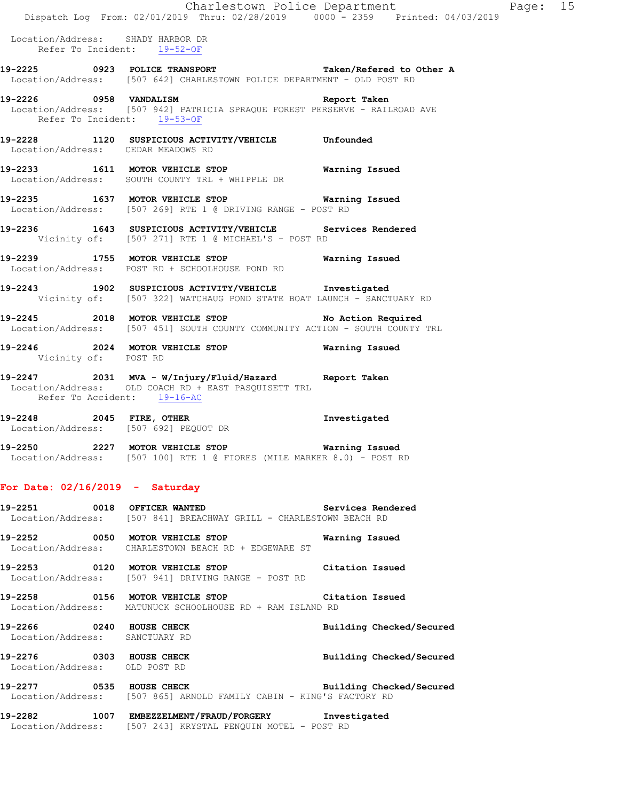Location/Address: SHADY HARBOR DR Refer To Incident: 19-52-OF

- **19-2225 0923 POLICE TRANSPORT Taken/Refered to Other A**  Location/Address: [507 642] CHARLESTOWN POLICE DEPARTMENT - OLD POST RD
- **19-2226 0958 VANDALISM Report Taken**  Location/Address: [507 942] PATRICIA SPRAQUE FOREST PERSERVE - RAILROAD AVE Refer To Incident: 19-53-OF
- **19-2228 1120 SUSPICIOUS ACTIVITY/VEHICLE Unfounded**  Location/Address: CEDAR MEADOWS RD
- **19-2233 1611 MOTOR VEHICLE STOP Warning Issued**  Location/Address: SOUTH COUNTY TRL + WHIPPLE DR
- **19-2235 1637 MOTOR VEHICLE STOP Warning Issued**  Location/Address: [507 269] RTE 1 @ DRIVING RANGE - POST RD
- **19-2236 1643 SUSPICIOUS ACTIVITY/VEHICLE Services Rendered**  Vicinity of: [507 271] RTE 1 @ MICHAEL'S - POST RD
- **19-2239 1755 MOTOR VEHICLE STOP Warning Issued**  Location/Address: POST RD + SCHOOLHOUSE POND RD
- **19-2243 1902 SUSPICIOUS ACTIVITY/VEHICLE Investigated**  Vicinity of: [507 322] WATCHAUG POND STATE BOAT LAUNCH - SANCTUARY RD
- **19-2245 2018 MOTOR VEHICLE STOP No Action Required**  Location/Address: [507 451] SOUTH COUNTY COMMUNITY ACTION - SOUTH COUNTY TRL
- **19-2246 2024 MOTOR VEHICLE STOP Warning Issued**  Vicinity of: POST RD
- **19-2247 2031 MVA W/Injury/Fluid/Hazard Report Taken**  Location/Address: OLD COACH RD + EAST PASQUISETT TRL Refer To Accident: 19-16-AC
- **19-2248 2045 FIRE, OTHER Investigated**  Location/Address: [507 692] PEQUOT DR
- **19-2250 2227 MOTOR VEHICLE STOP Warning Issued**  Location/Address: [507 100] RTE 1 @ FIORES (MILE MARKER 8.0) - POST RD

## **For Date: 02/16/2019 - Saturday**

- **19-2251 0018 OFFICER WANTED Services Rendered**  Location/Address: [507 841] BREACHWAY GRILL - CHARLESTOWN BEACH RD **19-2252 0050 MOTOR VEHICLE STOP Warning Issued**  Location/Address: CHARLESTOWN BEACH RD + EDGEWARE ST **19-2253 0120 MOTOR VEHICLE STOP Citation Issued**  Location/Address: [507 941] DRIVING RANGE - POST RD **19-2258 0156 MOTOR VEHICLE STOP Citation Issued**  Location/Address: MATUNUCK SCHOOLHOUSE RD + RAM ISLAND RD **19-2266 0240 HOUSE CHECK Building Checked/Secured**  Location/Address: SANCTUARY RD **19-2276 0303 HOUSE CHECK Building Checked/Secured**  Location/Address: OLD POST RD
- **19-2277 0535 HOUSE CHECK Building Checked/Secured**  Location/Address: [507 865] ARNOLD FAMILY CABIN - KING'S FACTORY RD
- **19-2282 1007 EMBEZZELMENT/FRAUD/FORGERY Investigated**  Location/Address: [507 243] KRYSTAL PENQUIN MOTEL - POST RD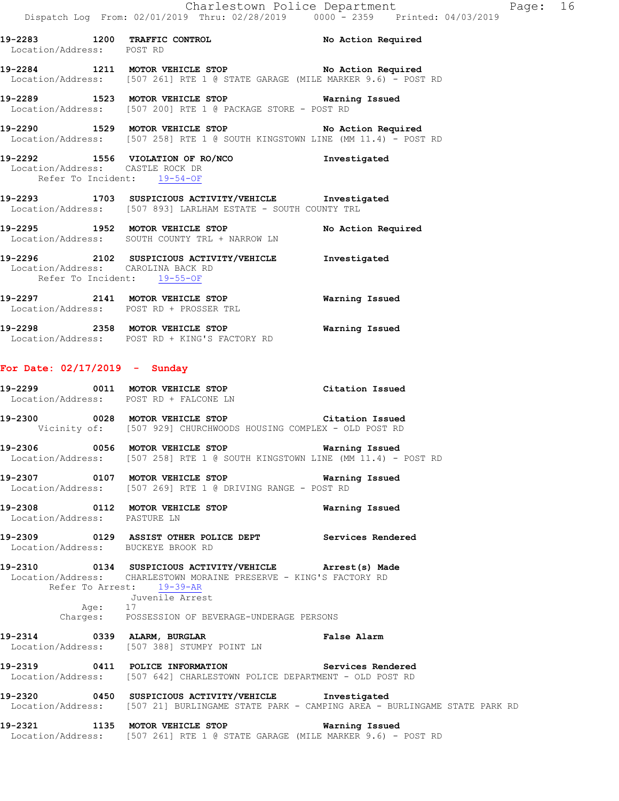**19-2283 1200 TRAFFIC CONTROL No Action Required**  Location/Address: POST RD **19-2284 1211 MOTOR VEHICLE STOP No Action Required** 

Location/Address: [507 261] RTE 1 @ STATE GARAGE (MILE MARKER 9.6) - POST RD

**19-2289 1523 MOTOR VEHICLE STOP Warning Issued**  Location/Address: [507 200] RTE 1 @ PACKAGE STORE - POST RD

**19-2290 1529 MOTOR VEHICLE STOP No Action Required**  Location/Address: [507 258] RTE 1 @ SOUTH KINGSTOWN LINE (MM 11.4) - POST RD

### **19-2292 1556 VIOLATION OF RO/NCO Investigated**  Location/Address: CASTLE ROCK DR Refer To Incident: 19-54-OF

**19-2293 1703 SUSPICIOUS ACTIVITY/VEHICLE Investigated**  Location/Address: [507 893] LARLHAM ESTATE - SOUTH COUNTY TRL

**19-2295 1952 MOTOR VEHICLE STOP No Action Required**  Location/Address: SOUTH COUNTY TRL + NARROW LN

**19-2296 2102 SUSPICIOUS ACTIVITY/VEHICLE Investigated**  Location/Address: CAROLINA BACK RD Refer To Incident: 19-55-OF

**19-2297 2141 MOTOR VEHICLE STOP Warning Issued**  Location/Address: POST RD + PROSSER TRL

**19-2298 2358 MOTOR VEHICLE STOP Warning Issued**  Location/Address: POST RD + KING'S FACTORY RD

# **For Date: 02/17/2019 - Sunday**

|                                      | 19-2299 		 0011 MOTOR VEHICLE STOP 		 Citation Issued<br>Location/Address: POST RD + FALCONE LN                                                              |                                                                                            |
|--------------------------------------|--------------------------------------------------------------------------------------------------------------------------------------------------------------|--------------------------------------------------------------------------------------------|
|                                      | 19-2300 			 0028 MOTOR VEHICLE STOP 				 Citation Issued<br>Vicinity of: [507 929] CHURCHWOODS HOUSING COMPLEX - OLD POST RD                                 |                                                                                            |
|                                      | 19-2306           0056 MOTOR VEHICLE STOP                     Warning Issued<br>Location/Address: [507 258] RTE 1 @ SOUTH KINGSTOWN LINE (MM 11.4) - POST RD |                                                                                            |
|                                      | Location/Address: [507 269] RTE 1 @ DRIVING RANGE - POST RD                                                                                                  |                                                                                            |
| Location/Address: PASTURE LN         | 19-2308 0112 MOTOR VEHICLE STOP <b>WATER WATER</b>                                                                                                           |                                                                                            |
| Location/Address: BUCKEYE BROOK RD   | 19-2309 		 0129 ASSIST OTHER POLICE DEPT Services Rendered                                                                                                   |                                                                                            |
| Refer To Arrest: 19-39-AR<br>Age: 17 | 19-2310 0134 SUSPICIOUS ACTIVITY/VEHICLE Arrest(s) Made<br>Location/Address: CHARLESTOWN MORAINE PRESERVE - KING'S FACTORY RD<br>Juvenile Arrest             |                                                                                            |
|                                      | Charges: POSSESSION OF BEVERAGE-UNDERAGE PERSONS                                                                                                             |                                                                                            |
|                                      | 19-2314 0339 ALARM, BURGLAR COMPARENT PALSE Alarm<br>Location/Address: [507 388] STUMPY POINT LN                                                             |                                                                                            |
|                                      | 19-2319 0411 POLICE INFORMATION Services Rendered<br>Location/Address: [507 642] CHARLESTOWN POLICE DEPARTMENT - OLD POST RD                                 |                                                                                            |
|                                      | 19-2320 0450 SUSPICIOUS ACTIVITY/VEHICLE Investigated                                                                                                        | Location/Address: [507 21] BURLINGAME STATE PARK - CAMPING AREA - BURLINGAME STATE PARK RD |
|                                      | 19-2321 1135 MOTOR VEHICLE STOP                                                                                                                              | Warning Issued                                                                             |

Location/Address: [507 261] RTE 1 @ STATE GARAGE (MILE MARKER 9.6) - POST RD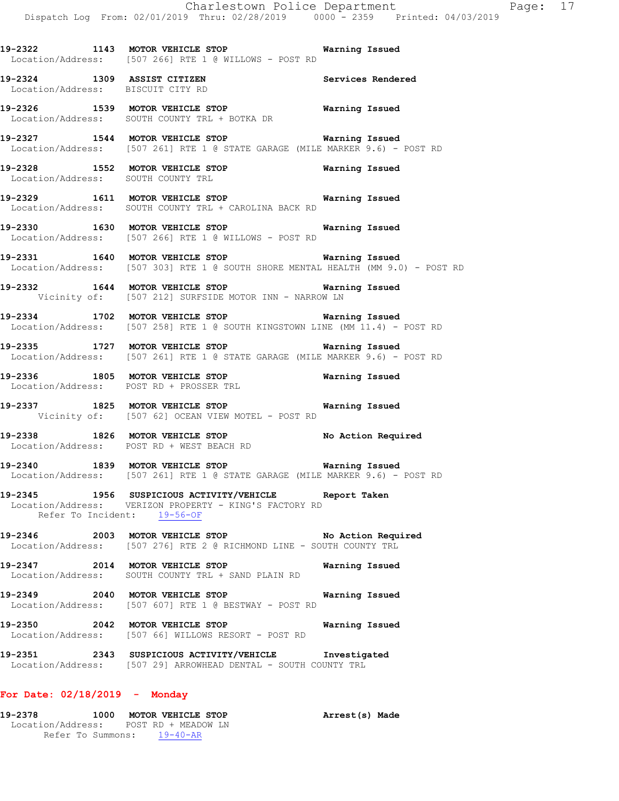**19-2328 1552 MOTOR VEHICLE STOP Warning Issued**  Location/Address: SOUTH COUNTY TRL **19-2329 1611 MOTOR VEHICLE STOP Warning Issued**  Location/Address: SOUTH COUNTY TRL + CAROLINA BACK RD **19-2330 1630 MOTOR VEHICLE STOP Warning Issued**  Location/Address: [507 266] RTE 1 @ WILLOWS - POST RD **19-2331 1640 MOTOR VEHICLE STOP Warning Issued**  Location/Address: [507 303] RTE 1 @ SOUTH SHORE MENTAL HEALTH (MM 9.0) - POST RD **19-2332 1644 MOTOR VEHICLE STOP Warning Issued**  Vicinity of: [507 212] SURFSIDE MOTOR INN - NARROW LN **19-2334 1702 MOTOR VEHICLE STOP Warning Issued**  Location/Address: [507 258] RTE 1 @ SOUTH KINGSTOWN LINE (MM 11.4) - POST RD **19-2335 1727 MOTOR VEHICLE STOP Warning Issued**  Location/Address: [507 261] RTE 1 @ STATE GARAGE (MILE MARKER 9.6) - POST RD **19-2336 1805 MOTOR VEHICLE STOP Warning Issued**  Location/Address: POST RD + PROSSER TRL **19-2337 1825 MOTOR VEHICLE STOP Warning Issued**  Vicinity of: [507 62] OCEAN VIEW MOTEL - POST RD **19-2338 1826 MOTOR VEHICLE STOP No Action Required**  Location/Address: POST RD + WEST BEACH RD

**19-2322 1143 MOTOR VEHICLE STOP Warning Issued** 

**19-2326 1539 MOTOR VEHICLE STOP Warning Issued** 

**19-2327 1544 MOTOR VEHICLE STOP Warning Issued** 

Location/Address: [507 261] RTE 1 @ STATE GARAGE (MILE MARKER 9.6) - POST RD

**19-2324 1309 ASSIST CITIZEN Services Rendered** 

Location/Address: [507 266] RTE 1 @ WILLOWS - POST RD

Location/Address: SOUTH COUNTY TRL + BOTKA DR

Location/Address: BISCUIT CITY RD

**19-2340 1839 MOTOR VEHICLE STOP Warning Issued**  Location/Address: [507 261] RTE 1 @ STATE GARAGE (MILE MARKER 9.6) - POST RD

**19-2345 1956 SUSPICIOUS ACTIVITY/VEHICLE Report Taken**  Location/Address: VERIZON PROPERTY - KING'S FACTORY RD Refer To Incident: 19-56-OF

**19-2346 2003 MOTOR VEHICLE STOP No Action Required**  Location/Address: [507 276] RTE 2 @ RICHMOND LINE - SOUTH COUNTY TRL

**19-2347 2014 MOTOR VEHICLE STOP Warning Issued**  Location/Address: SOUTH COUNTY TRL + SAND PLAIN RD

**19-2349 2040 MOTOR VEHICLE STOP Warning Issued**  Location/Address: [507 607] RTE 1 @ BESTWAY - POST RD

**19-2350 2042 MOTOR VEHICLE STOP Warning Issued**  Location/Address: [507 66] WILLOWS RESORT - POST RD

**19-2351 2343 SUSPICIOUS ACTIVITY/VEHICLE Investigated**  Location/Address: [507 29] ARROWHEAD DENTAL - SOUTH COUNTY TRL

# **For Date: 02/18/2019 - Monday**

**19-2378 1000 MOTOR VEHICLE STOP Arrest(s) Made**  Location/Address: POST RD + MEADOW LN Refer To Summons: 19-40-AR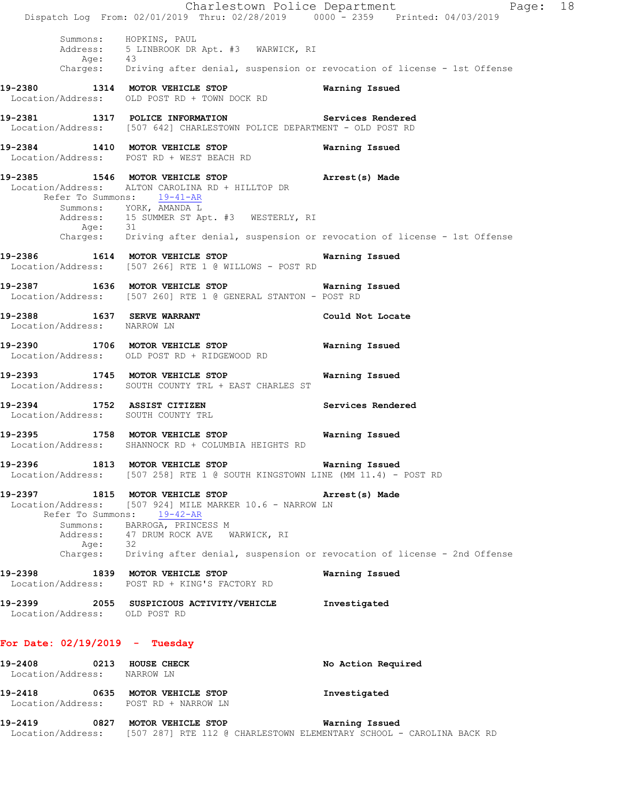Charlestown Police Department The Page: 18 Dispatch Log From: 02/01/2019 Thru: 02/28/2019 0000 - 2359 Printed: 04/03/2019 Summons: HOPKINS, PAUL Address: 5 LINBROOK DR Apt. #3 WARWICK, RI Age: 43 Charges: Driving after denial, suspension or revocation of license - 1st Offense **19-2380 1314 MOTOR VEHICLE STOP Warning Issued**  Location/Address: OLD POST RD + TOWN DOCK RD **19-2381 1317 POLICE INFORMATION Services Rendered**  Location/Address: [507 642] CHARLESTOWN POLICE DEPARTMENT - OLD POST RD **19-2384 1410 MOTOR VEHICLE STOP Warning Issued**  Location/Address: POST RD + WEST BEACH RD **19-2385 1546 MOTOR VEHICLE STOP Arrest(s) Made**  Location/Address: ALTON CAROLINA RD + HILLTOP DR Refer To Summons: 19-41-AR Summons: YORK, AMANDA L Address: 15 SUMMER ST Apt. #3 WESTERLY, RI Age: 31 Charges: Driving after denial, suspension or revocation of license - 1st Offense **19-2386 1614 MOTOR VEHICLE STOP Warning Issued**  Location/Address: [507 266] RTE 1 @ WILLOWS - POST RD **19-2387 1636 MOTOR VEHICLE STOP Warning Issued**  Location/Address: [507 260] RTE 1 @ GENERAL STANTON - POST RD **19-2388 1637 SERVE WARRANT Could Not Locate**  Location/Address: NARROW LN **19-2390 1706 MOTOR VEHICLE STOP Warning Issued**  Location/Address: OLD POST RD + RIDGEWOOD RD **19-2393 1745 MOTOR VEHICLE STOP Warning Issued**  Location/Address: SOUTH COUNTY TRL + EAST CHARLES ST **19-2394 1752 ASSIST CITIZEN Services Rendered**  Location/Address: SOUTH COUNTY TRL **19-2395 1758 MOTOR VEHICLE STOP Warning Issued**  Location/Address: SHANNOCK RD + COLUMBIA HEIGHTS RD **19-2396 1813 MOTOR VEHICLE STOP Warning Issued**  Location/Address: [507 258] RTE 1 @ SOUTH KINGSTOWN LINE (MM 11.4) - POST RD **19-2397 1815 MOTOR VEHICLE STOP Arrest(s) Made**  Location/Address: [507 924] MILE MARKER 10.6 - NARROW LN Refer To Summons: 19-42-AR Summons: BARROGA, PRINCESS M Address: 47 DRUM ROCK AVE WARWICK, RI Age: 32 Charges: Driving after denial, suspension or revocation of license - 2nd Offense **19-2398 1839 MOTOR VEHICLE STOP Warning Issued**  Location/Address: POST RD + KING'S FACTORY RD **19-2399 2055 SUSPICIOUS ACTIVITY/VEHICLE Investigated**  Location/Address: OLD POST RD **For Date: 02/19/2019 - Tuesday 19-2408 0213 HOUSE CHECK No Action Required**  Location/Address: NARROW LN **19-2418 0635 MOTOR VEHICLE STOP Investigated**  Location/Address: POST RD + NARROW LN **19-2419 0827 MOTOR VEHICLE STOP Warning Issued**  Location/Address: [507 287] RTE 112 @ CHARLESTOWN ELEMENTARY SCHOOL - CAROLINA BACK RD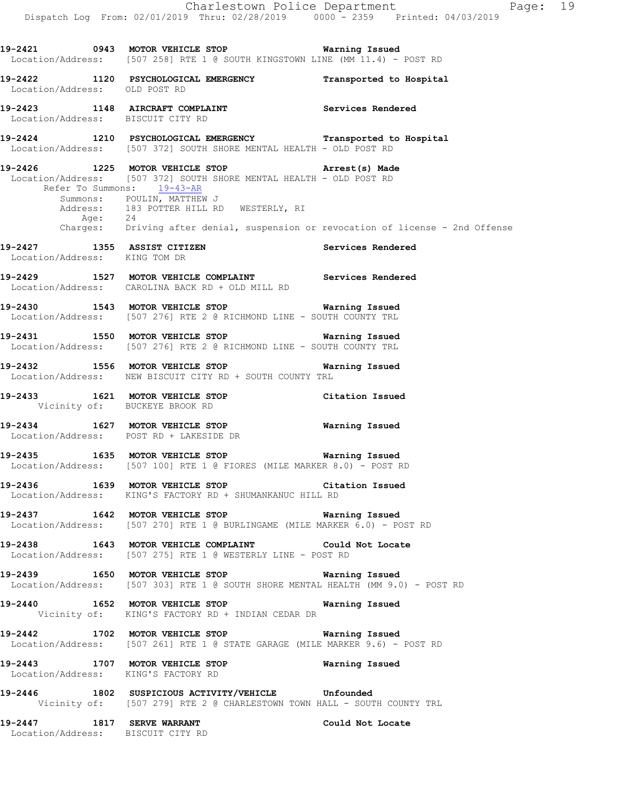Charlestown Police Department Page: 19 Dispatch Log From: 02/01/2019 Thru: 02/28/2019 0000 - 2359 Printed: 04/03/2019 **19-2421 0943 MOTOR VEHICLE STOP Warning Issued**  Location/Address: [507 258] RTE 1 @ SOUTH KINGSTOWN LINE (MM 11.4) - POST RD **19-2422 1120 PSYCHOLOGICAL EMERGENCY Transported to Hospital**  Location/Address: OLD POST RD **19-2423 1148 AIRCRAFT COMPLAINT Services Rendered**  Location/Address: BISCUIT CITY RD **19-2424 1210 PSYCHOLOGICAL EMERGENCY Transported to Hospital**  Location/Address: [507 372] SOUTH SHORE MENTAL HEALTH - OLD POST RD **19-2426 1225 MOTOR VEHICLE STOP Arrest(s) Made**  Location/Address: [507 372] SOUTH SHORE MENTAL HEALTH - OLD POST RD Refer To Summons: 19-43-AR Summons: POULIN, MATTHEW J Address: 183 POTTER HILL RD WESTERLY, RI Age: 24 Charges: Driving after denial, suspension or revocation of license - 2nd Offense **19-2427 1355 ASSIST CITIZEN Services Rendered**  Location/Address: KING TOM DR **19-2429 1527 MOTOR VEHICLE COMPLAINT Services Rendered**  Location/Address: CAROLINA BACK RD + OLD MILL RD **19-2430 1543 MOTOR VEHICLE STOP Warning Issued**  Location/Address: [507 276] RTE 2 @ RICHMOND LINE - SOUTH COUNTY TRL **19-2431 1550 MOTOR VEHICLE STOP Warning Issued**  Location/Address: [507 276] RTE 2 @ RICHMOND LINE - SOUTH COUNTY TRL **19-2432 1556 MOTOR VEHICLE STOP Warning Issued**  Location/Address: NEW BISCUIT CITY RD + SOUTH COUNTY TRL **19-2433 1621 MOTOR VEHICLE STOP Citation Issued**  Vicinity of: BUCKEYE BROOK RD **19-2434 1627 MOTOR VEHICLE STOP Warning Issued**  Location/Address: POST RD + LAKESIDE DR **19-2435 1635 MOTOR VEHICLE STOP Warning Issued**  Location/Address: [507 100] RTE 1 @ FIORES (MILE MARKER 8.0) - POST RD **19-2436 1639 MOTOR VEHICLE STOP Citation Issued**  Location/Address: KING'S FACTORY RD + SHUMANKANUC HILL RD **19-2437 1642 MOTOR VEHICLE STOP Warning Issued**  Location/Address: [507 270] RTE 1 @ BURLINGAME (MILE MARKER 6.0) - POST RD **19-2438 1643 MOTOR VEHICLE COMPLAINT Could Not Locate**  Location/Address: [507 275] RTE 1 @ WESTERLY LINE - POST RD **19-2439 1650 MOTOR VEHICLE STOP Warning Issued**  Location/Address: [507 303] RTE 1 @ SOUTH SHORE MENTAL HEALTH (MM 9.0) - POST RD **19-2440 1652 MOTOR VEHICLE STOP Warning Issued**  Vicinity of: KING'S FACTORY RD + INDIAN CEDAR DR **19-2442 1702 MOTOR VEHICLE STOP Warning Issued**  Location/Address: [507 261] RTE 1 @ STATE GARAGE (MILE MARKER 9.6) - POST RD **19-2443 1707 MOTOR VEHICLE STOP Warning Issued**  Location/Address: KING'S FACTORY RD

**19-2446 1802 SUSPICIOUS ACTIVITY/VEHICLE Unfounded**  Vicinity of: [507 279] RTE 2 @ CHARLESTOWN TOWN HALL - SOUTH COUNTY TRL

**19-2447 1817 SERVE WARRANT Could Not Locate**  Location/Address: BISCUIT CITY RD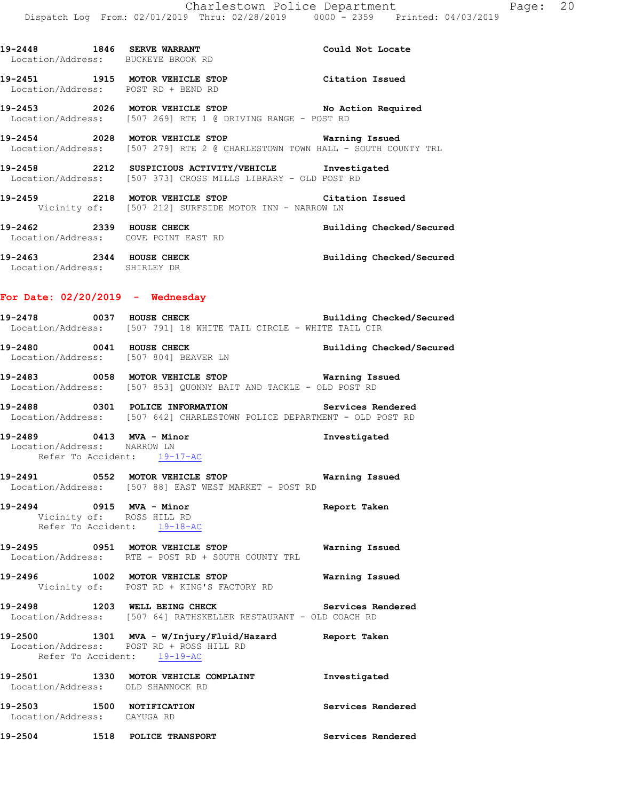**19-2448 1846 SERVE WARRANT Could Not Locate**  Location/Address: BUCKEYE BROOK RD **19-2451 1915 MOTOR VEHICLE STOP Citation Issued**  Location/Address: POST RD + BEND RD **19-2453 2026 MOTOR VEHICLE STOP No Action Required**  Location/Address: [507 269] RTE 1 @ DRIVING RANGE - POST RD **19-2454 2028 MOTOR VEHICLE STOP Warning Issued**  Location/Address: [507 279] RTE 2 @ CHARLESTOWN TOWN HALL - SOUTH COUNTY TRL **19-2458 2212 SUSPICIOUS ACTIVITY/VEHICLE Investigated**  Location/Address: [507 373] CROSS MILLS LIBRARY - OLD POST RD **19-2459 2218 MOTOR VEHICLE STOP Citation Issued**  Vicinity of: [507 212] SURFSIDE MOTOR INN - NARROW LN **19-2462 2339 HOUSE CHECK Building Checked/Secured**  Location/Address: COVE POINT EAST RD **19-2463 2344 HOUSE CHECK Building Checked/Secured**  Location/Address: SHIRLEY DR **For Date: 02/20/2019 - Wednesday 19-2478 0037 HOUSE CHECK Building Checked/Secured**  Location/Address: [507 791] 18 WHITE TAIL CIRCLE - WHITE TAIL CIR **19-2480 0041 HOUSE CHECK Building Checked/Secured**  Location/Address: [507 804] BEAVER LN **19-2483 0058 MOTOR VEHICLE STOP Warning Issued**  Location/Address: [507 853] QUONNY BAIT AND TACKLE - OLD POST RD **19-2488 0301 POLICE INFORMATION Services Rendered**  Location/Address: [507 642] CHARLESTOWN POLICE DEPARTMENT - OLD POST RD **19-2489 0413 MVA - Minor Investigated**  Location/Address: NARROW LN Refer To Accident: 19-17-AC **19-2491 0552 MOTOR VEHICLE STOP Warning Issued**  Location/Address: [507 88] EAST WEST MARKET - POST RD **19-2494 0915 MVA - Minor Report Taken**  Vicinity of: ROSS HILL RD Refer To Accident: 19-18-AC **19-2495 0951 MOTOR VEHICLE STOP Warning Issued**  Location/Address: RTE - POST RD + SOUTH COUNTY TRL **19-2496 1002 MOTOR VEHICLE STOP Warning Issued**  Vicinity of: POST RD + KING'S FACTORY RD **19-2498 1203 WELL BEING CHECK Services Rendered**  Location/Address: [507 64] RATHSKELLER RESTAURANT - OLD COACH RD **19-2500 1301 MVA - W/Injury/Fluid/Hazard Report Taken**  Location/Address: POST RD + ROSS HILL RD Refer To Accident: 19-19-AC **19-2501 1330 MOTOR VEHICLE COMPLAINT Investigated**  Location/Address: OLD SHANNOCK RD **19-2503 1500 NOTIFICATION Services Rendered**  Location/Address: CAYUGA RD

**19-2504 1518 POLICE TRANSPORT Services Rendered**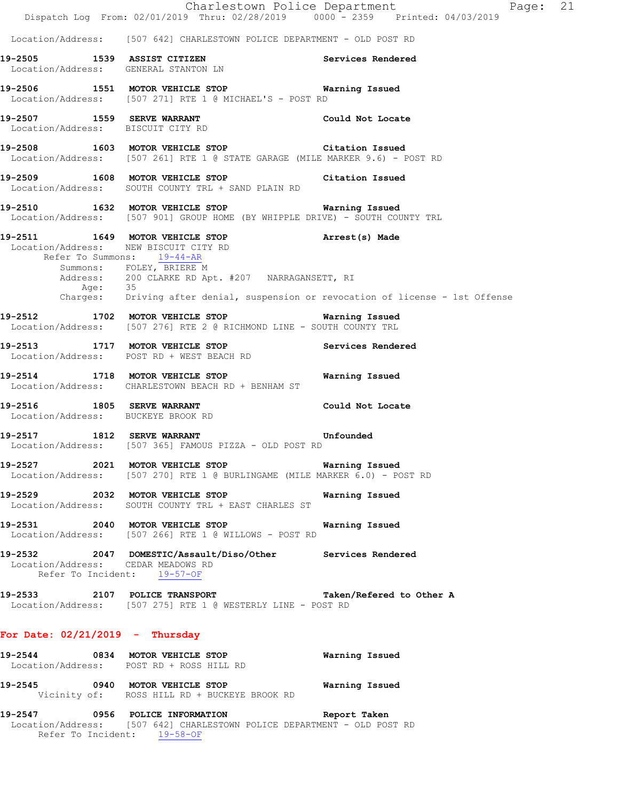|                                                                     | Dispatch Log From: 02/01/2019 Thru: 02/28/2019 0000 - 2359 Printed: 04/03/2019                                                  | Charlestown Police Department<br>Page: 21                                                   |
|---------------------------------------------------------------------|---------------------------------------------------------------------------------------------------------------------------------|---------------------------------------------------------------------------------------------|
|                                                                     | Location/Address: [507 642] CHARLESTOWN POLICE DEPARTMENT - OLD POST RD                                                         |                                                                                             |
|                                                                     | 19-2505 1539 ASSIST CITIZEN Services Rendered<br>Location/Address: GENERAL STANTON LN                                           |                                                                                             |
|                                                                     | 19-2506 1551 MOTOR VEHICLE STOP <b>Warning Issued</b><br>Location/Address: [507 271] RTE 1 @ MICHAEL'S - POST RD                |                                                                                             |
|                                                                     | 19-2507 1559 SERVE WARRANT Could Not Locate<br>Location/Address: BISCUIT CITY RD                                                |                                                                                             |
|                                                                     | 19-2508 1603 MOTOR VEHICLE STOP Citation Issued<br>Location/Address: [507 261] RTE 1 @ STATE GARAGE (MILE MARKER 9.6) - POST RD |                                                                                             |
|                                                                     | 19-2509 1608 MOTOR VEHICLE STOP Citation Issued<br>Location/Address: SOUTH COUNTY TRL + SAND PLAIN RD                           |                                                                                             |
|                                                                     | 19-2510 1632 MOTOR VEHICLE STOP Warning Issued<br>Location/Address: [507 901] GROUP HOME (BY WHIPPLE DRIVE) - SOUTH COUNTY TRL  |                                                                                             |
| Location/Address: NEW BISCUIT CITY RD<br>Refer To Summons: 19-44-AR | 19-2511 1649 MOTOR VEHICLE STOP 19-2511                                                                                         |                                                                                             |
|                                                                     | Summons: FOLEY, BRIERE M<br>Address: 200 CLARKE RD Apt. #207 NARRAGANSETT, RI                                                   | Age: 35<br>Charges: Driving after denial, suspension or revocation of license - 1st Offense |
|                                                                     | 19-2512 1702 MOTOR VEHICLE STOP 6 Warning Issued<br>Location/Address: [507 276] RTE 2 @ RICHMOND LINE - SOUTH COUNTY TRL        |                                                                                             |
|                                                                     | 19-2513 1717 MOTOR VEHICLE STOP Services Rendered<br>Location/Address: POST RD + WEST BEACH RD                                  |                                                                                             |
|                                                                     | 19-2514 1718 MOTOR VEHICLE STOP <b>WATER</b> Warning Issued<br>Location/Address: CHARLESTOWN BEACH RD + BENHAM ST               |                                                                                             |
| Location/Address: BUCKEYE BROOK RD                                  | 19-2516 1805 SERVE WARRANT Could Not Locate                                                                                     |                                                                                             |
|                                                                     | 19-2517 1812 SERVE WARRANT Unfounded<br>Location/Address: [507 365] FAMOUS PIZZA - OLD POST RD                                  |                                                                                             |
|                                                                     | 19-2527 2021 MOTOR VEHICLE STOP Warning Issued<br>Location/Address: [507 270] RTE 1 @ BURLINGAME (MILE MARKER 6.0) - POST RD    |                                                                                             |
|                                                                     | 19-2529 2032 MOTOR VEHICLE STOP<br>Location/Address: SOUTH COUNTY TRL + EAST CHARLES ST                                         | Warning Issued                                                                              |
|                                                                     | 19-2531 2040 MOTOR VEHICLE STOP<br>Location/Address: [507 266] RTE 1 @ WILLOWS - POST RD                                        | Warning Issued                                                                              |
| Location/Address: CEDAR MEADOWS RD<br>Refer To Incident: 19-57-OF   | 19-2532 2047 DOMESTIC/Assault/Diso/Other Services Rendered                                                                      |                                                                                             |
|                                                                     | 19-2533 2107 POLICE TRANSPORT Taken/Refered to Other A<br>Location/Address: [507 275] RTE 1 @ WESTERLY LINE - POST RD           |                                                                                             |
| For Date: $02/21/2019$ - Thursday                                   |                                                                                                                                 |                                                                                             |
|                                                                     | 19-2544 0834 MOTOR VEHICLE STOP<br>Location/Address: POST RD + ROSS HILL RD                                                     | Warning Issued                                                                              |
|                                                                     | 19-2545 0940 MOTOR VEHICLE STOP<br>Vicinity of: ROSS HILL RD + BUCKEYE BROOK RD                                                 | Warning Issued                                                                              |
|                                                                     | 19-2547 0956 POLICE INFORMATION Report Taken<br>$C121$ $CII$ $DII$ $DCHOU$ $DII$ $DCI$ $TCD$ $DID$ $DCHI$ $DIII$                |                                                                                             |

 Location/Address: [507 642] CHARLESTOWN POLICE DEPARTMENT - OLD POST RD Refer To Incident: 19-58-OF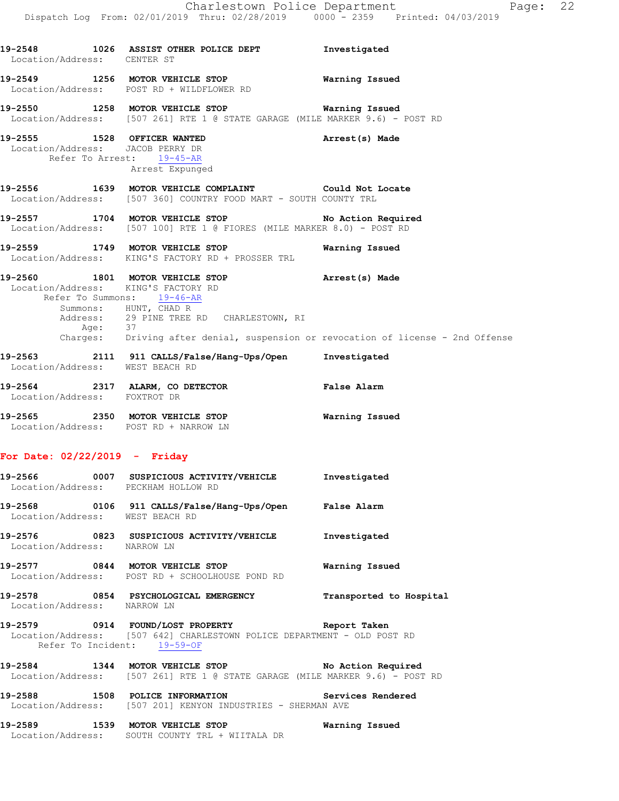| 19-2548 1026 ASSIST OTHER POLICE DEPT                                                                | Investigated                                                                                                                                                                                                                                                                                                                                                                                                                                                                                                                                                                                                                                                                                                                                                                                                                                                                                                                                                                                                                                                                                                                                                                                                |
|------------------------------------------------------------------------------------------------------|-------------------------------------------------------------------------------------------------------------------------------------------------------------------------------------------------------------------------------------------------------------------------------------------------------------------------------------------------------------------------------------------------------------------------------------------------------------------------------------------------------------------------------------------------------------------------------------------------------------------------------------------------------------------------------------------------------------------------------------------------------------------------------------------------------------------------------------------------------------------------------------------------------------------------------------------------------------------------------------------------------------------------------------------------------------------------------------------------------------------------------------------------------------------------------------------------------------|
|                                                                                                      |                                                                                                                                                                                                                                                                                                                                                                                                                                                                                                                                                                                                                                                                                                                                                                                                                                                                                                                                                                                                                                                                                                                                                                                                             |
|                                                                                                      |                                                                                                                                                                                                                                                                                                                                                                                                                                                                                                                                                                                                                                                                                                                                                                                                                                                                                                                                                                                                                                                                                                                                                                                                             |
| Arrest Expunged                                                                                      | Arrest(s) Made                                                                                                                                                                                                                                                                                                                                                                                                                                                                                                                                                                                                                                                                                                                                                                                                                                                                                                                                                                                                                                                                                                                                                                                              |
|                                                                                                      |                                                                                                                                                                                                                                                                                                                                                                                                                                                                                                                                                                                                                                                                                                                                                                                                                                                                                                                                                                                                                                                                                                                                                                                                             |
|                                                                                                      |                                                                                                                                                                                                                                                                                                                                                                                                                                                                                                                                                                                                                                                                                                                                                                                                                                                                                                                                                                                                                                                                                                                                                                                                             |
|                                                                                                      | Warning Issued                                                                                                                                                                                                                                                                                                                                                                                                                                                                                                                                                                                                                                                                                                                                                                                                                                                                                                                                                                                                                                                                                                                                                                                              |
|                                                                                                      |                                                                                                                                                                                                                                                                                                                                                                                                                                                                                                                                                                                                                                                                                                                                                                                                                                                                                                                                                                                                                                                                                                                                                                                                             |
|                                                                                                      |                                                                                                                                                                                                                                                                                                                                                                                                                                                                                                                                                                                                                                                                                                                                                                                                                                                                                                                                                                                                                                                                                                                                                                                                             |
|                                                                                                      |                                                                                                                                                                                                                                                                                                                                                                                                                                                                                                                                                                                                                                                                                                                                                                                                                                                                                                                                                                                                                                                                                                                                                                                                             |
| 19-2565 2350 MOTOR VEHICLE STOP <b>WATER</b> Warning Issued<br>Location/Address: POST RD + NARROW LN |                                                                                                                                                                                                                                                                                                                                                                                                                                                                                                                                                                                                                                                                                                                                                                                                                                                                                                                                                                                                                                                                                                                                                                                                             |
|                                                                                                      | Location/Address: CENTER ST<br>19-2549 1256 MOTOR VEHICLE STOP <b>WATER</b> Warning Issued<br>Location/Address: POST RD + WILDFLOWER RD<br>19-2550 1258 MOTOR VEHICLE STOP <b>WATER WATER</b><br>Location/Address: [507 261] RTE 1 @ STATE GARAGE (MILE MARKER 9.6) - POST RD<br>19-2555 1528 OFFICER WANTED<br>Location/Address: JACOB PERRY DR<br>Refer To Arrest: 19-45-AR<br>19-2556 1639 MOTOR VEHICLE COMPLAINT Could Not Locate<br>Location/Address: [507 360] COUNTRY FOOD MART - SOUTH COUNTY TRL<br>19-2557 1704 MOTOR VEHICLE STOP No Action Required<br>Location/Address: [507 100] RTE 1 @ FIORES (MILE MARKER 8.0) - POST RD<br>19-2559 1749 MOTOR VEHICLE STOP<br>Location/Address: KING'S FACTORY RD + PROSSER TRL<br>19-2560 1801 MOTOR VEHICLE STOP (Arrest(s) Made<br>Location/Address: KING'S FACTORY RD<br>Refer To Summons: 19-46-AR<br>Summons: HUNT, CHAD R<br>Address: 29 PINE TREE RD CHARLESTOWN, RI<br>Age: 37<br>Charges: Driving after denial, suspension or revocation of license - 2nd Offense<br>19-2563 2111 911 CALLS/False/Hang-Ups/Open Investigated<br>Location/Address: WEST BEACH RD<br>19-2564 2317 ALARM, CO DETECTOR False Alarm<br>Location/Address: FOXTROT DR |

# **19-2566 0007 SUSPICIOUS ACTIVITY/VEHICLE Investigated**  Location/Address: PECKHAM HOLLOW RD **19-2568 0106 911 CALLS/False/Hang-Ups/Open False Alarm**  Location/Address: WEST BEACH RD **19-2576 0823 SUSPICIOUS ACTIVITY/VEHICLE Investigated**  Location/Address: NARROW LN **19-2577 0844 MOTOR VEHICLE STOP Warning Issued**  Location/Address: POST RD + SCHOOLHOUSE POND RD **19-2578 0854 PSYCHOLOGICAL EMERGENCY Transported to Hospital**  Location/Address: NARROW LN **19-2579 0914 FOUND/LOST PROPERTY Report Taken**  Location/Address: [507 642] CHARLESTOWN POLICE DEPARTMENT - OLD POST RD Refer To Incident: 19-59-OF **19-2584 1344 MOTOR VEHICLE STOP No Action Required**  Location/Address: [507 261] RTE 1 @ STATE GARAGE (MILE MARKER 9.6) - POST RD **19-2588 1508 POLICE INFORMATION Services Rendered**

 Location/Address: [507 201] KENYON INDUSTRIES - SHERMAN AVE **19-2589 1539 MOTOR VEHICLE STOP Warning Issued** 

Location/Address: SOUTH COUNTY TRL + WIITALA DR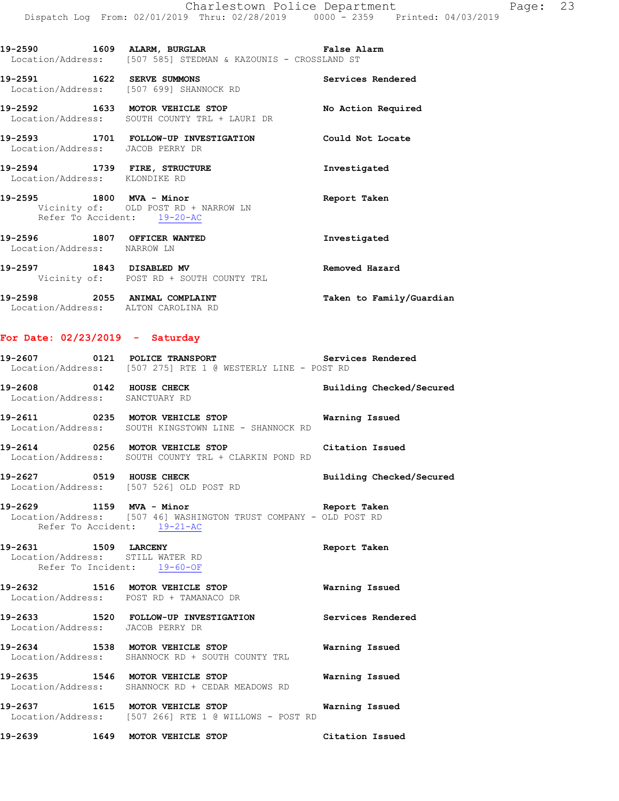**19-2590 1609 ALARM, BURGLAR False Alarm**  Location/Address: [507 585] STEDMAN & KAZOUNIS - CROSSLAND ST **19-2591 1622 SERVE SUMMONS Services Rendered**  Location/Address: [507 699] SHANNOCK RD **19-2592 1633 MOTOR VEHICLE STOP No Action Required**  Location/Address: SOUTH COUNTY TRL + LAURI DR **19-2593 1701 FOLLOW-UP INVESTIGATION Could Not Locate**  Location/Address: JACOB PERRY DR **19-2594 1739 FIRE, STRUCTURE Investigated**  Location/Address: KLONDIKE RD **19-2595 1800 MVA - Minor Report Taken**  Vicinity of: OLD POST RD + NARROW LN Refer To Accident: 19-20-AC **19-2596 1807 OFFICER WANTED Investigated**  Location/Address: NARROW LN **19-2597 1843 DISABLED MV Removed Hazard**  Vicinity of: POST RD + SOUTH COUNTY TRL **19-2598 2055 ANIMAL COMPLAINT Taken to Family/Guardian**  Location/Address: ALTON CAROLINA RD

### **For Date: 02/23/2019 - Saturday**

|                                                                 | 19-2607 		 0121 POLICE TRANSPORT 		 Services Rendered<br>Location/Address: [507 275] RTE 1 @ WESTERLY LINE - POST RD   |                          |
|-----------------------------------------------------------------|------------------------------------------------------------------------------------------------------------------------|--------------------------|
| Location/Address: SANCTUARY RD                                  | 19-2608 0142 HOUSE CHECK                                                                                               | Building Checked/Secured |
|                                                                 | 19-2611 0235 MOTOR VEHICLE STOP<br>Location/Address: SOUTH KINGSTOWN LINE - SHANNOCK RD                                | Warning Issued           |
|                                                                 | 19-2614 0256 MOTOR VEHICLE STOP Citation Issued<br>Location/Address: SOUTH COUNTY TRL + CLARKIN POND RD                |                          |
|                                                                 | 19-2627 0519 HOUSE CHECK<br>Location/Address: [507 526] OLD POST RD                                                    | Building Checked/Secured |
| Refer To Accident: 19-21-AC                                     | 19-2629 1159 MVA - Minor Changes and Report Taken<br>Location/Address: [507 46] WASHINGTON TRUST COMPANY - OLD POST RD |                          |
| Location/Address: STILL WATER RD<br>Refer To Incident: 19-60-OF | 19-2631 1509 LARCENY<br>Location/Address: STILL WATER RD                                                               | Report Taken             |
|                                                                 | 19-2632 1516 MOTOR VEHICLE STOP 6 Warning Issued<br>Location/Address: POST RD + TAMANACO DR                            |                          |
| Location/Address: JACOB PERRY DR                                | 19-2633 1520 FOLLOW-UP INVESTIGATION Services Rendered                                                                 |                          |
|                                                                 | 19-2634 1538 MOTOR VEHICLE STOP<br>Location/Address: SHANNOCK RD + SOUTH COUNTY TRL                                    | Warning Issued           |
|                                                                 | 19-2635 1546 MOTOR VEHICLE STOP<br>Location/Address: SHANNOCK RD + CEDAR MEADOWS RD                                    | Warning Issued           |
|                                                                 | 19-2637 1615 MOTOR VEHICLE STOP 6 Warning Issued<br>Location/Address: [507 266] RTE 1 @ WILLOWS - POST RD              |                          |
|                                                                 | 19-2639 1649 MOTOR VEHICLE STOP                                                                                        | Citation Issued          |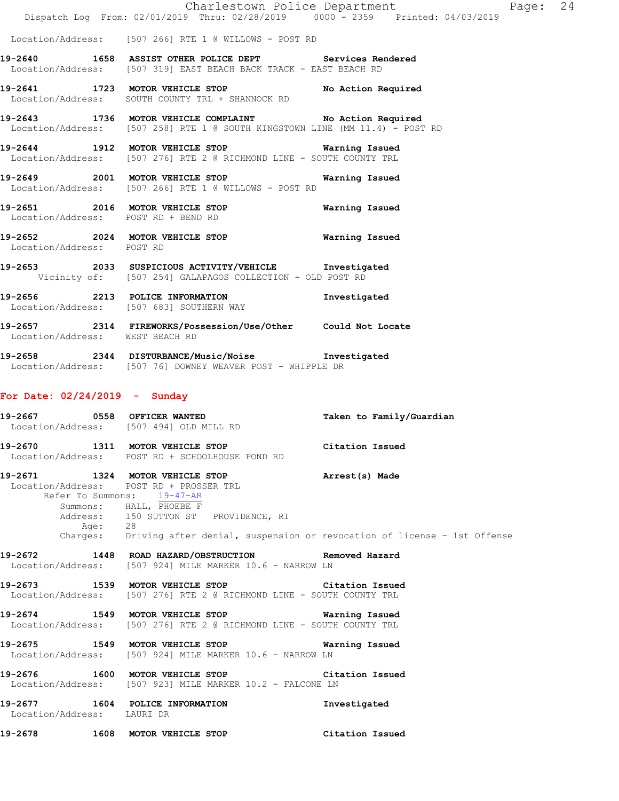|                                                               |                                                                                                                                                      |                                                                                                                              | Charlestown Police Department Page: 24<br>Dispatch Log From: 02/01/2019 Thru: 02/28/2019 0000 - 2359 Printed: 04/03/2019 |  |
|---------------------------------------------------------------|------------------------------------------------------------------------------------------------------------------------------------------------------|------------------------------------------------------------------------------------------------------------------------------|--------------------------------------------------------------------------------------------------------------------------|--|
|                                                               |                                                                                                                                                      | Location/Address: [507 266] RTE 1 @ WILLOWS - POST RD                                                                        |                                                                                                                          |  |
|                                                               |                                                                                                                                                      | 19-2640 1658 ASSIST OTHER POLICE DEPT Services Rendered<br>Location/Address: [507 319] EAST BEACH BACK TRACK - EAST BEACH RD |                                                                                                                          |  |
|                                                               |                                                                                                                                                      | 19-2641 1723 MOTOR VEHICLE STOP No Action Required<br>Location/Address: SOUTH COUNTY TRL + SHANNOCK RD                       |                                                                                                                          |  |
|                                                               |                                                                                                                                                      | 19-2643 1736 MOTOR VEHICLE COMPLAINT No Action Required                                                                      | Location/Address: [507 258] RTE 1 @ SOUTH KINGSTOWN LINE (MM 11.4) - POST RD                                             |  |
|                                                               |                                                                                                                                                      | 19-2644 1912 MOTOR VEHICLE STOP Warning Issued<br>Location/Address: [507 276] RTE 2 @ RICHMOND LINE - SOUTH COUNTY TRL       |                                                                                                                          |  |
|                                                               |                                                                                                                                                      | 19-2649 2001 MOTOR VEHICLE STOP Warning Issued<br>Location/Address: [507 266] RTE 1 @ WILLOWS - POST RD                      |                                                                                                                          |  |
|                                                               |                                                                                                                                                      | 19-2651 2016 MOTOR VEHICLE STOP Warning Issued<br>Location/Address: POST RD + BEND RD                                        |                                                                                                                          |  |
| Location/Address: POST RD                                     |                                                                                                                                                      | 19-2652 2024 MOTOR VEHICLE STOP <b>WARE MARICUS</b>                                                                          |                                                                                                                          |  |
|                                                               |                                                                                                                                                      | 19-2653 2033 SUSPICIOUS ACTIVITY/VEHICLE Investigated<br>Vicinity of: [507 254] GALAPAGOS COLLECTION - OLD POST RD           |                                                                                                                          |  |
| Location/Address: [507 683] SOUTHERN WAY                      |                                                                                                                                                      | 19-2656 2213 POLICE INFORMATION Investigated                                                                                 |                                                                                                                          |  |
| Location/Address: WEST BEACH RD                               |                                                                                                                                                      | 19-2657 2314 FIREWORKS/Possession/Use/Other Could Not Locate                                                                 |                                                                                                                          |  |
|                                                               |                                                                                                                                                      | 19-2658 2344 DISTURBANCE/Music/Noise Investigated<br>Location/Address: [507 76] DOWNEY WEAVER POST - WHIPPLE DR              |                                                                                                                          |  |
| For Date: $02/24/2019$ - Sunday                               |                                                                                                                                                      |                                                                                                                              |                                                                                                                          |  |
| Location/Address: [507 494] OLD MILL RD                       |                                                                                                                                                      |                                                                                                                              | 19-2667 0558 OFFICER WANTED Taken to Family/Guardian                                                                     |  |
|                                                               | Location/Address: POST RD + SCHOOLHOUSE POND RD                                                                                                      | 19-2670 1311 MOTOR VEHICLE STOP                                                                                              | Citation Issued                                                                                                          |  |
|                                                               | Location/Address: POST RD + PROSSER TRL<br>Refer To Summons: 19-47-AR<br>Summons: HALL, PHOEBE F<br>Address: 150 SUTTON ST PROVIDENCE, RI<br>Age: 28 | 19-2671 1324 MOTOR VEHICLE STOP <b>Arrest(s)</b> Made                                                                        | Charges: Driving after denial, suspension or revocation of license - 1st Offense                                         |  |
|                                                               |                                                                                                                                                      | 19-2672 1448 ROAD HAZARD/OBSTRUCTION Removed Hazard<br>Location/Address: [507 924] MILE MARKER 10.6 - NARROW LN              |                                                                                                                          |  |
|                                                               |                                                                                                                                                      | 19-2673 1539 MOTOR VEHICLE STOP Citation Issued<br>Location/Address: [507 276] RTE 2 @ RICHMOND LINE - SOUTH COUNTY TRL      |                                                                                                                          |  |
|                                                               |                                                                                                                                                      | 19-2674 1549 MOTOR VEHICLE STOP 6 Warning Issued<br>Location/Address: [507 276] RTE 2 @ RICHMOND LINE - SOUTH COUNTY TRL     |                                                                                                                          |  |
|                                                               |                                                                                                                                                      | 19-2675 1549 MOTOR VEHICLE STOP<br>Location/Address: [507 924] MILE MARKER 10.6 - NARROW LN                                  | Warning Issued                                                                                                           |  |
|                                                               |                                                                                                                                                      | 19-2676 1600 MOTOR VEHICLE STOP<br>Location/Address: [507 923] MILE MARKER 10.2 - FALCONE LN                                 | Citation Issued                                                                                                          |  |
| 19-2677 1604 POLICE INFORMATION<br>Location/Address: LAURI DR |                                                                                                                                                      |                                                                                                                              | Investigated                                                                                                             |  |
| 19-2678                                                       | 1608 MOTOR VEHICLE STOP                                                                                                                              |                                                                                                                              | Citation Issued                                                                                                          |  |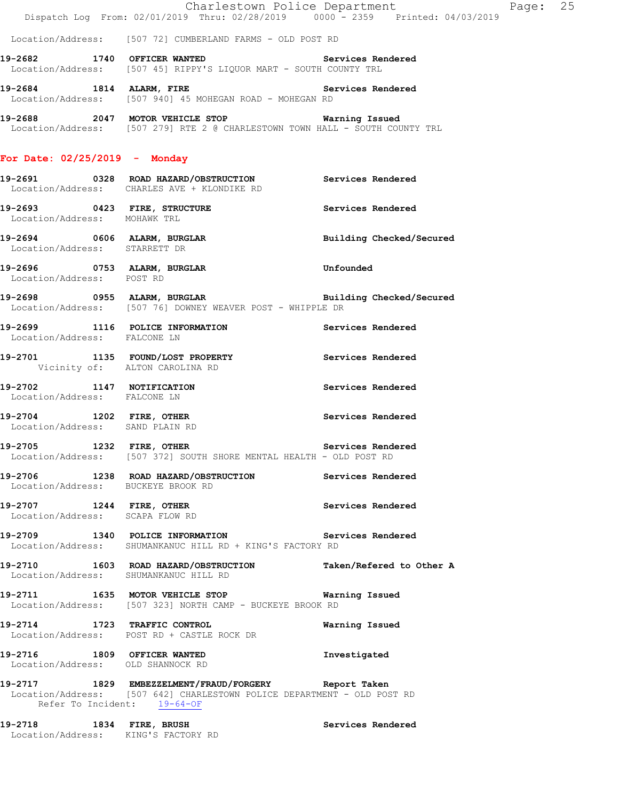|                                                |  |  | Charlestown Police Department |               |  |                     |
|------------------------------------------------|--|--|-------------------------------|---------------|--|---------------------|
| Dispatch Log From: 02/01/2019 Thru: 02/28/2019 |  |  |                               | $0000 - 2359$ |  | Printed: 04/03/2019 |

Page: 25

Location/Address: [507 72] CUMBERLAND FARMS - OLD POST RD

**19-2682 1740 OFFICER WANTED Services Rendered**  Location/Address: [507 45] RIPPY'S LIQUOR MART - SOUTH COUNTY TRL

**19-2684 1814 ALARM, FIRE Services Rendered**  Location/Address: [507 940] 45 MOHEGAN ROAD - MOHEGAN RD

**19-2688 2047 MOTOR VEHICLE STOP Warning Issued**  Location/Address: [507 279] RTE 2 @ CHARLESTOWN TOWN HALL - SOUTH COUNTY TRL

## **For Date: 02/25/2019 - Monday**

- **19-2691 0328 ROAD HAZARD/OBSTRUCTION Services Rendered**  Location/Address: CHARLES AVE + KLONDIKE RD
- **19-2693 0423 FIRE, STRUCTURE Services Rendered**  Location/Address: MOHAWK TRL
- **19-2694 0606 ALARM, BURGLAR Building Checked/Secured**  Location/Address: STARRETT DR
- **19-2696 0753 ALARM, BURGLAR Unfounded**  Location/Address: POST RD
- **19-2698 0955 ALARM, BURGLAR Building Checked/Secured**  Location/Address: [507 76] DOWNEY WEAVER POST - WHIPPLE DR
- **19-2699 1116 POLICE INFORMATION Services Rendered**  Location/Address: FALCONE LN **19-2701 1135 FOUND/LOST PROPERTY Services Rendered**  Vicinity of: ALTON CAROLINA RD
- **19-2702 1147 NOTIFICATION Services Rendered**  Location/Address: FALCONE LN
- **19-2704 1202 FIRE, OTHER Services Rendered**  Location/Address: SAND PLAIN RD
- **19-2705 1232 FIRE, OTHER Services Rendered**  Location/Address: [507 372] SOUTH SHORE MENTAL HEALTH - OLD POST RD
- **19-2706 1238 ROAD HAZARD/OBSTRUCTION Services Rendered**  Location/Address: BUCKEYE BROOK RD
- **19-2707 1244 FIRE, OTHER Services Rendered**  Location/Address: SCAPA FLOW RD
- **19-2709 1340 POLICE INFORMATION Services Rendered**  Location/Address: SHUMANKANUC HILL RD + KING'S FACTORY RD
- **19-2710 1603 ROAD HAZARD/OBSTRUCTION Taken/Refered to Other A**  Location/Address: SHUMANKANUC HILL RD
- **19-2711 1635 MOTOR VEHICLE STOP Warning Issued**  Location/Address: [507 323] NORTH CAMP - BUCKEYE BROOK RD
- **19-2714 1723 TRAFFIC CONTROL Warning Issued**  Location/Address: POST RD + CASTLE ROCK DR
- **19-2716 1809 OFFICER WANTED Investigated**  Location/Address: OLD SHANNOCK RD
- **19-2717 1829 EMBEZZELMENT/FRAUD/FORGERY Report Taken**  Location/Address: [507 642] CHARLESTOWN POLICE DEPARTMENT - OLD POST RD Refer To Incident: 19-64-OF
- **19-2718 1834 FIRE, BRUSH Services Rendered**  Location/Address: KING'S FACTORY RD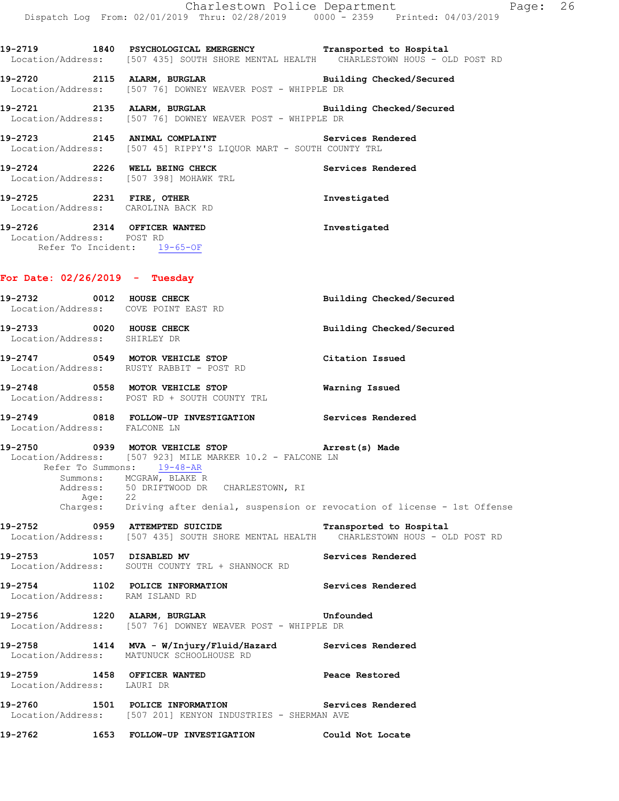|                                                                                         | Dispatch Log From: 02/01/2019 Thru: 02/28/2019 0000 <sup>-</sup> 2359 Printed: 04/03/2019                                                                                                                                                                                                         | Page: 26<br>Charlestown Police Department |
|-----------------------------------------------------------------------------------------|---------------------------------------------------------------------------------------------------------------------------------------------------------------------------------------------------------------------------------------------------------------------------------------------------|-------------------------------------------|
|                                                                                         | 19-2719 1840 PSYCHOLOGICAL EMERGENCY Transported to Hospital<br>Location/Address: [507 435] SOUTH SHORE MENTAL HEALTH CHARLESTOWN HOUS - OLD POST RD                                                                                                                                              |                                           |
|                                                                                         | 19-2720 2115 ALARM, BURGLAR BURGINE Building Checked/Secured Location/Address: [507 76] DOWNEY WEAVER POST - WHIPPLE DR                                                                                                                                                                           |                                           |
|                                                                                         | 19-2721 2135 ALARM, BURGLAR BURGER Building Checked/Secured<br>Location/Address: [507 76] DOWNEY WEAVER POST - WHIPPLE DR                                                                                                                                                                         |                                           |
|                                                                                         | 19-2723 2145 ANIMAL COMPLAINT Services Rendered<br>Location/Address: [507 45] RIPPY'S LIQUOR MART - SOUTH COUNTY TRL                                                                                                                                                                              |                                           |
|                                                                                         | 19-2724 2226 WELL BEING CHECK<br>Location/Address: [507 398] MOHAWK TRL                                                                                                                                                                                                                           | Services Rendered                         |
|                                                                                         | 19-2725 2231 FIRE, OTHER<br>Location/Address: CAROLINA BACK RD                                                                                                                                                                                                                                    | Investigated                              |
| 19-2726 2314 OFFICER WANTED<br>Location/Address: POST RD<br>Refer To Incident: 19-65-OF |                                                                                                                                                                                                                                                                                                   | Investigated                              |
| For Date: $02/26/2019$ - Tuesday                                                        |                                                                                                                                                                                                                                                                                                   |                                           |
| Location/Address: COVE POINT EAST RD                                                    | 19-2732 0012 HOUSE CHECK                                                                                                                                                                                                                                                                          | Building Checked/Secured                  |
| Location/Address: SHIRLEY DR                                                            | 19-2733 0020 HOUSE CHECK                                                                                                                                                                                                                                                                          | Building Checked/Secured                  |
|                                                                                         | 19-2747 0549 MOTOR VEHICLE STOP<br>Location/Address: RUSTY RABBIT - POST RD                                                                                                                                                                                                                       | Citation Issued                           |
|                                                                                         | 19-2748 0558 MOTOR VEHICLE STOP<br>Location/Address: POST RD + SOUTH COUNTY TRL                                                                                                                                                                                                                   | Warning Issued                            |
| Location/Address: FALCONE LN                                                            | 19-2749 0818 FOLLOW-UP INVESTIGATION Services Rendered                                                                                                                                                                                                                                            |                                           |
|                                                                                         | 19-2750 0939 MOTOR VEHICLE STOP<br>Location/Address: [507 923] MILE MARKER 10.2 - FALCONE LN<br>Refer To Summons: 19-48-AR<br>Summons: MCGRAW, BLAKE R<br>Address: 50 DRIFTWOOD DR CHARLESTOWN, RI<br>Age: 22<br>Charges: Driving after denial, suspension or revocation of license - 1st Offense | Arrest(s) Made                            |
| 19-2752 0959 ATTEMPTED SUICIDE                                                          | Location/Address: [507 435] SOUTH SHORE MENTAL HEALTH CHARLESTOWN HOUS - OLD POST RD                                                                                                                                                                                                              | Transported to Hospital                   |
| 19-2753 1057 DISABLED MV                                                                | Location/Address: SOUTH COUNTY TRL + SHANNOCK RD                                                                                                                                                                                                                                                  | Services Rendered                         |
| 19-2754 1102 POLICE INFORMATION<br>Location/Address: RAM ISLAND RD                      |                                                                                                                                                                                                                                                                                                   | Services Rendered                         |
| 19-2756                                                                                 | 1220 ALARM, BURGLAR<br>Location/Address: [507 76] DOWNEY WEAVER POST - WHIPPLE DR                                                                                                                                                                                                                 | Unfounded                                 |
| 19-2758<br>Location/Address:                                                            | 1414 MVA - W/Injury/Fluid/Hazard<br>MATUNUCK SCHOOLHOUSE RD                                                                                                                                                                                                                                       | Services Rendered                         |

**19-2759 1458 OFFICER WANTED Peace Restored**  Location/Address: LAURI DR

**19-2760 1501 POLICE INFORMATION Services Rendered**  Location/Address: [507 201] KENYON INDUSTRIES - SHERMAN AVE

**19-2762 1653 FOLLOW-UP INVESTIGATION Could Not Locate**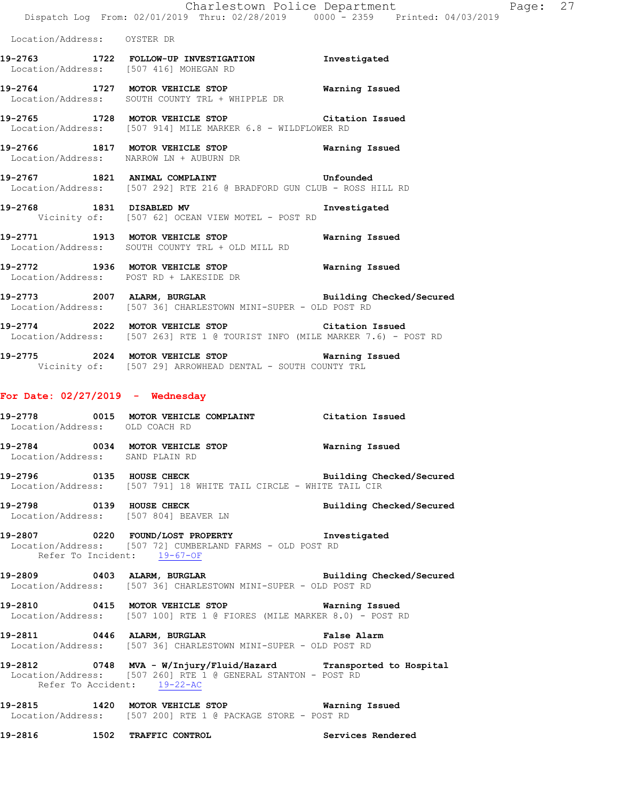|                                    | Charlestown Police Department<br>Dispatch Log From: 02/01/2019 Thru: 02/28/2019 0000 - 2359 Printed: 04/03/2019                                                  |                          | Page: 27 |  |
|------------------------------------|------------------------------------------------------------------------------------------------------------------------------------------------------------------|--------------------------|----------|--|
| Location/Address: OYSTER DR        |                                                                                                                                                                  |                          |          |  |
|                                    | 19-2763 1722 FOLLOW-UP INVESTIGATION Investigated<br>Location/Address: [507 416] MOHEGAN RD                                                                      |                          |          |  |
|                                    | 19-2764 1727 MOTOR VEHICLE STOP Warning Issued<br>Location/Address: SOUTH COUNTY TRL + WHIPPLE DR                                                                |                          |          |  |
|                                    | 19-2765 1728 MOTOR VEHICLE STOP Citation Issued<br>Location/Address: [507 914] MILE MARKER 6.8 - WILDFLOWER RD                                                   |                          |          |  |
|                                    | 19-2766 1817 MOTOR VEHICLE STOP 6 Warning Issued<br>Location/Address: NARROW LN + AUBURN DR                                                                      |                          |          |  |
|                                    | 19-2767 1821 ANIMAL COMPLAINT COMPOSED Unfounded<br>Location/Address: [507 292] RTE 216 @ BRADFORD GUN CLUB - ROSS HILL RD                                       |                          |          |  |
|                                    | 19-2768 1831 DISABLED MV<br>Vicinity of: [507 62] OCEAN VIEW MOTEL - POST RD                                                                                     | Investigated             |          |  |
|                                    | 19-2771 1913 MOTOR VEHICLE STOP 6 Warning Issued<br>Location/Address: SOUTH COUNTY TRL + OLD MILL RD                                                             |                          |          |  |
|                                    | 19-2772 1936 MOTOR VEHICLE STOP 6 Warning Issued<br>Location/Address: POST RD + LAKESIDE DR                                                                      |                          |          |  |
|                                    | 19-2773 2007 ALARM, BURGLAR BURGER Building Checked/Secured<br>Location/Address: [507 36] CHARLESTOWN MINI-SUPER - OLD POST RD                                   |                          |          |  |
|                                    | 19-2774 2022 MOTOR VEHICLE STOP Citation Issued<br>Location/Address: [507 263] RTE 1 @ TOURIST INFO (MILE MARKER 7.6) - POST RD                                  |                          |          |  |
|                                    | 19-2775 2024 MOTOR VEHICLE STOP 6 Warning Issued<br>Vicinity of: [507 29] ARROWHEAD DENTAL - SOUTH COUNTY TRL                                                    |                          |          |  |
| For Date: $02/27/2019$ - Wednesday |                                                                                                                                                                  |                          |          |  |
| Location/Address: OLD COACH RD     | 19-2778 0015 MOTOR VEHICLE COMPLAINT Citation Issued                                                                                                             |                          |          |  |
| Location/Address: SAND PLAIN RD    | 19-2784 0034 MOTOR VEHICLE STOP <b>WATER WATER</b>                                                                                                               |                          |          |  |
|                                    | 19-2796 0135 HOUSE CHECK<br>Location/Address: [507 791] 18 WHITE TAIL CIRCLE - WHITE TAIL CIR                                                                    | Building Checked/Secured |          |  |
|                                    | 19-2798 0139 HOUSE CHECK Building Checked/Secured<br>Location/Address: [507 804] BEAVER LN                                                                       |                          |          |  |
|                                    | 19-2807 0220 FOUND/LOST PROPERTY 1nvestigated<br>Location/Address: [507 72] CUMBERLAND FARMS - OLD POST RD<br>Refer To Incident: 19-67-OF                        |                          |          |  |
|                                    | 19-2809 0403 ALARM, BURGLAR Building Checked/Secured<br>Location/Address: [507 36] CHARLESTOWN MINI-SUPER - OLD POST RD                                          |                          |          |  |
|                                    | 19-2810 0415 MOTOR VEHICLE STOP 6 Warning Issued<br>Location/Address: [507 100] RTE 1 @ FIORES (MILE MARKER 8.0) - POST RD                                       |                          |          |  |
|                                    | 19-2811 0446 ALARM, BURGLAR CHARM False Alarm<br>Location/Address: [507 36] CHARLESTOWN MINI-SUPER - OLD POST RD                                                 |                          |          |  |
|                                    | 19-2812 0748 MVA - W/Injury/Fluid/Hazard Transported to Hospital<br>Location/Address: [507 260] RTE 1 @ GENERAL STANTON - POST RD<br>Refer To Accident: 19-22-AC |                          |          |  |
|                                    | 19-2815 1420 MOTOR VEHICLE STOP 6 Warning Issued                                                                                                                 |                          |          |  |

Location/Address: [507 200] RTE 1 @ PACKAGE STORE - POST RD

**19-2816 1502 TRAFFIC CONTROL Services Rendered**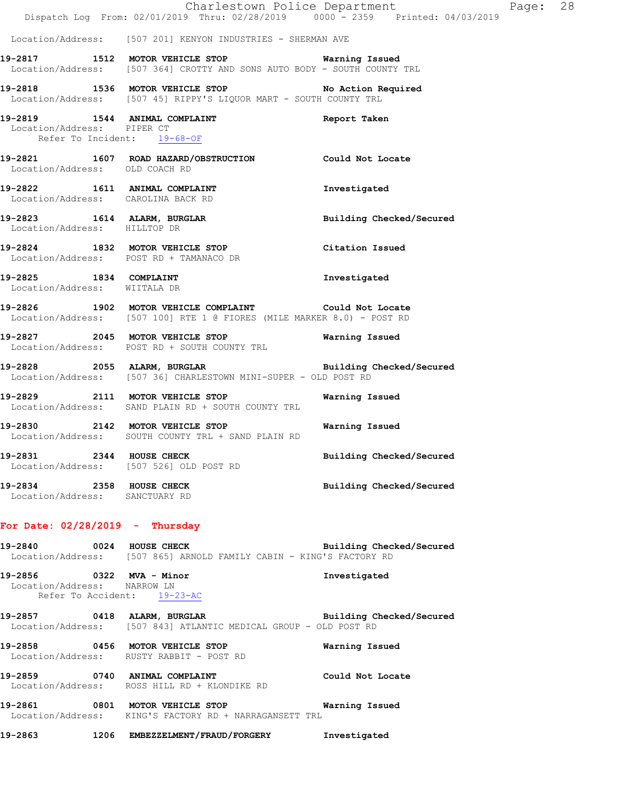|                                                            | Dispatch Log From: 02/01/2019 Thru: 02/28/2019 0000 - 2359 Printed: 04/03/2019                                                    | Charlestown Police Department | Page: 28 |  |
|------------------------------------------------------------|-----------------------------------------------------------------------------------------------------------------------------------|-------------------------------|----------|--|
|                                                            | Location/Address: [507 201] KENYON INDUSTRIES - SHERMAN AVE                                                                       |                               |          |  |
|                                                            | 19-2817 1512 MOTOR VEHICLE STOP <b>Warning Issued</b><br>Location/Address: [507 364] CROTTY AND SONS AUTO BODY - SOUTH COUNTY TRL |                               |          |  |
|                                                            | 19-2818 1536 MOTOR VEHICLE STOP No Action Required<br>Location/Address: [507 45] RIPPY'S LIQUOR MART - SOUTH COUNTY TRL           |                               |          |  |
| Location/Address: PIPER CT                                 | 19-2819 1544 ANIMAL COMPLAINT 19-2819 Report Taken<br>Refer To Incident: 19-68-OF                                                 |                               |          |  |
| Location/Address: OLD COACH RD                             | 19-2821 1607 ROAD HAZARD/OBSTRUCTION Could Not Locate                                                                             |                               |          |  |
| Location/Address: CAROLINA BACK RD                         | 19-2822 1611 ANIMAL COMPLAINT                                                                                                     | Investigated                  |          |  |
| Location/Address: HILLTOP DR                               | 19-2823 1614 ALARM, BURGLAR                                                                                                       | Building Checked/Secured      |          |  |
|                                                            | 19-2824 1832 MOTOR VEHICLE STOP<br>Location/Address: POST RD + TAMANACO DR                                                        | Citation Issued               |          |  |
| 19-2825 1834 COMPLAINT<br>Location/Address: WIITALA DR     |                                                                                                                                   | Investigated                  |          |  |
|                                                            | 19-2826 1902 MOTOR VEHICLE COMPLAINT Could Not Locate<br>Location/Address: [507 100] RTE 1 @ FIORES (MILE MARKER 8.0) - POST RD   |                               |          |  |
|                                                            | 19-2827 2045 MOTOR VEHICLE STOP Warning Issued<br>Location/Address: POST RD + SOUTH COUNTY TRL                                    |                               |          |  |
|                                                            | 19-2828 2055 ALARM, BURGLAR BURGER Building Checked/Secured<br>Location/Address: [507 36] CHARLESTOWN MINI-SUPER - OLD POST RD    |                               |          |  |
|                                                            | 19-2829 2111 MOTOR VEHICLE STOP<br>Location/Address: SAND PLAIN RD + SOUTH COUNTY TRL                                             | Warning Issued                |          |  |
|                                                            | 19-2830 2142 MOTOR VEHICLE STOP 6 Warning Issued<br>Location/Address: SOUTH COUNTY TRL + SAND PLAIN RD                            |                               |          |  |
| 19-2831 2344 HOUSE CHECK                                   | Location/Address: [507 526] OLD POST RD                                                                                           | Building Checked/Secured      |          |  |
| 19-2834 2358 HOUSE CHECK<br>Location/Address: SANCTUARY RD |                                                                                                                                   | Building Checked/Secured      |          |  |
| For Date: $02/28/2019$ - Thursday                          |                                                                                                                                   |                               |          |  |
|                                                            | 19-2840 0024 HOUSE CHECK<br>Location/Address: [507 865] ARNOLD FAMILY CABIN - KING'S FACTORY RD                                   | Building Checked/Secured      |          |  |
| 19-2856 0322 MVA - Minor<br>Location/Address: NARROW LN    | Refer To Accident: 19-23-AC                                                                                                       | Investigated                  |          |  |
|                                                            | 19-2857 0418 ALARM, BURGLAR Building Checked/Secured<br>Location/Address: [507 843] ATLANTIC MEDICAL GROUP - OLD POST RD          |                               |          |  |
|                                                            | 19-2858 0456 MOTOR VEHICLE STOP<br>Location/Address: RUSTY RABBIT - POST RD                                                       | Warning Issued                |          |  |
|                                                            | 19-2859 0740 ANIMAL COMPLAINT<br>Location/Address: ROSS HILL RD + KLONDIKE RD                                                     | Could Not Locate              |          |  |
|                                                            | 19-2861 6801 MOTOR VEHICLE STOP 60 Warning Issued<br>Location/Address: KING'S FACTORY RD + NARRAGANSETT TRL                       |                               |          |  |
|                                                            | 19-2863 1206 EMBEZZELMENT/FRAUD/FORGERY                                                                                           | Investigated                  |          |  |